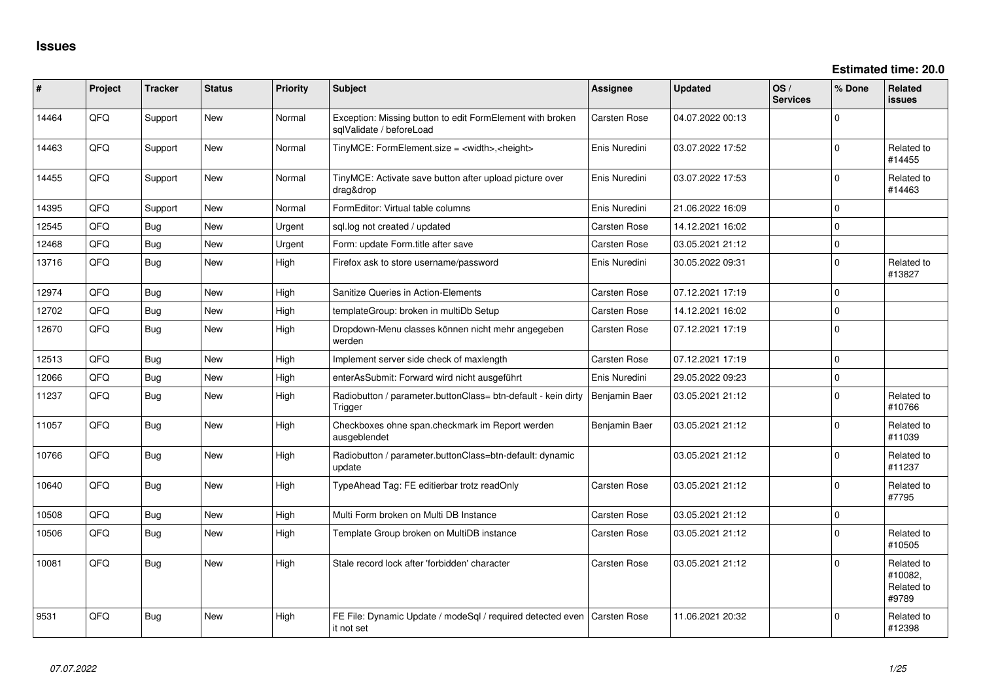| #     | Project | <b>Tracker</b> | <b>Status</b> | <b>Priority</b> | <b>Subject</b>                                                                          | Assignee            | <b>Updated</b>   | OS/<br><b>Services</b> | % Done      | Related<br><b>issues</b>                     |
|-------|---------|----------------|---------------|-----------------|-----------------------------------------------------------------------------------------|---------------------|------------------|------------------------|-------------|----------------------------------------------|
| 14464 | QFQ     | Support        | New           | Normal          | Exception: Missing button to edit FormElement with broken<br>sqlValidate / beforeLoad   | Carsten Rose        | 04.07.2022 00:13 |                        | $\Omega$    |                                              |
| 14463 | QFQ     | Support        | New           | Normal          | TinyMCE: FormElement.size = <width>,<height></height></width>                           | Enis Nuredini       | 03.07.2022 17:52 |                        | $\Omega$    | Related to<br>#14455                         |
| 14455 | QFQ     | Support        | <b>New</b>    | Normal          | TinyMCE: Activate save button after upload picture over<br>drag&drop                    | Enis Nuredini       | 03.07.2022 17:53 |                        | $\mathbf 0$ | Related to<br>#14463                         |
| 14395 | QFQ     | Support        | <b>New</b>    | Normal          | FormEditor: Virtual table columns                                                       | Enis Nuredini       | 21.06.2022 16:09 |                        | $\Omega$    |                                              |
| 12545 | QFQ     | <b>Bug</b>     | <b>New</b>    | Urgent          | sql.log not created / updated                                                           | Carsten Rose        | 14.12.2021 16:02 |                        | $\mathbf 0$ |                                              |
| 12468 | QFQ     | Bug            | <b>New</b>    | Urgent          | Form: update Form.title after save                                                      | <b>Carsten Rose</b> | 03.05.2021 21:12 |                        | $\Omega$    |                                              |
| 13716 | QFQ     | <b>Bug</b>     | <b>New</b>    | High            | Firefox ask to store username/password                                                  | Enis Nuredini       | 30.05.2022 09:31 |                        | $\mathbf 0$ | Related to<br>#13827                         |
| 12974 | QFQ     | <b>Bug</b>     | <b>New</b>    | High            | Sanitize Queries in Action-Elements                                                     | <b>Carsten Rose</b> | 07.12.2021 17:19 |                        | $\Omega$    |                                              |
| 12702 | QFQ     | <b>Bug</b>     | New           | High            | templateGroup: broken in multiDb Setup                                                  | <b>Carsten Rose</b> | 14.12.2021 16:02 |                        | $\mathbf 0$ |                                              |
| 12670 | QFQ     | <b>Bug</b>     | <b>New</b>    | High            | Dropdown-Menu classes können nicht mehr angegeben<br>werden                             | Carsten Rose        | 07.12.2021 17:19 |                        | $\Omega$    |                                              |
| 12513 | QFQ     | Bug            | <b>New</b>    | High            | Implement server side check of maxlength                                                | <b>Carsten Rose</b> | 07.12.2021 17:19 |                        | $\mathbf 0$ |                                              |
| 12066 | QFQ     | <b>Bug</b>     | <b>New</b>    | High            | enterAsSubmit: Forward wird nicht ausgeführt                                            | Enis Nuredini       | 29.05.2022 09:23 |                        | $\Omega$    |                                              |
| 11237 | QFQ     | Bug            | <b>New</b>    | High            | Radiobutton / parameter.buttonClass= btn-default - kein dirty<br>Trigger                | Benjamin Baer       | 03.05.2021 21:12 |                        | $\Omega$    | Related to<br>#10766                         |
| 11057 | QFQ     | <b>Bug</b>     | <b>New</b>    | High            | Checkboxes ohne span.checkmark im Report werden<br>ausgeblendet                         | Benjamin Baer       | 03.05.2021 21:12 |                        | $\Omega$    | Related to<br>#11039                         |
| 10766 | QFQ     | <b>Bug</b>     | <b>New</b>    | High            | Radiobutton / parameter.buttonClass=btn-default: dynamic<br>update                      |                     | 03.05.2021 21:12 |                        | $\mathbf 0$ | Related to<br>#11237                         |
| 10640 | QFQ     | Bug            | <b>New</b>    | High            | TypeAhead Tag: FE editierbar trotz readOnly                                             | <b>Carsten Rose</b> | 03.05.2021 21:12 |                        | $\Omega$    | Related to<br>#7795                          |
| 10508 | QFQ     | <b>Bug</b>     | <b>New</b>    | High            | Multi Form broken on Multi DB Instance                                                  | <b>Carsten Rose</b> | 03.05.2021 21:12 |                        | $\Omega$    |                                              |
| 10506 | QFQ     | Bug            | <b>New</b>    | High            | Template Group broken on MultiDB instance                                               | <b>Carsten Rose</b> | 03.05.2021 21:12 |                        | $\Omega$    | Related to<br>#10505                         |
| 10081 | QFQ     | <b>Bug</b>     | <b>New</b>    | High            | Stale record lock after 'forbidden' character                                           | <b>Carsten Rose</b> | 03.05.2021 21:12 |                        | $\Omega$    | Related to<br>#10082.<br>Related to<br>#9789 |
| 9531  | QFQ     | <b>Bug</b>     | <b>New</b>    | High            | FE File: Dynamic Update / modeSql / required detected even   Carsten Rose<br>it not set |                     | 11.06.2021 20:32 |                        | $\Omega$    | Related to<br>#12398                         |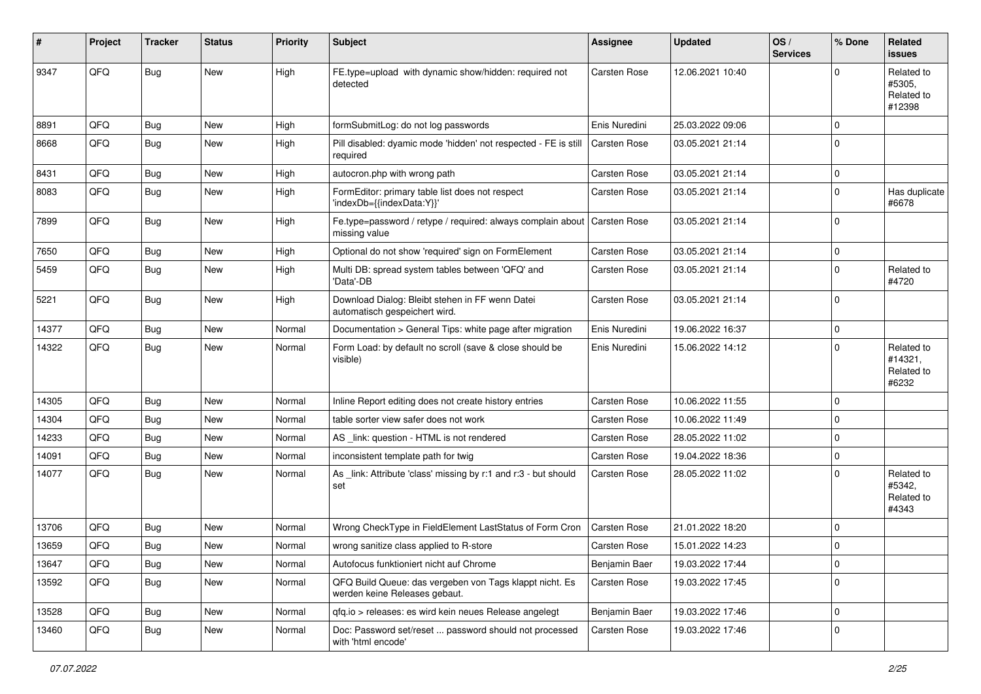| #     | Project | <b>Tracker</b> | <b>Status</b> | <b>Priority</b> | <b>Subject</b>                                                                           | Assignee            | <b>Updated</b>   | OS/<br><b>Services</b> | % Done      | <b>Related</b><br><b>issues</b>              |
|-------|---------|----------------|---------------|-----------------|------------------------------------------------------------------------------------------|---------------------|------------------|------------------------|-------------|----------------------------------------------|
| 9347  | QFQ     | <b>Bug</b>     | New           | High            | FE.type=upload with dynamic show/hidden: required not<br>detected                        | Carsten Rose        | 12.06.2021 10:40 |                        | $\Omega$    | Related to<br>#5305,<br>Related to<br>#12398 |
| 8891  | QFQ     | <b>Bug</b>     | <b>New</b>    | High            | formSubmitLog: do not log passwords                                                      | Enis Nuredini       | 25.03.2022 09:06 |                        | $\Omega$    |                                              |
| 8668  | QFQ     | Bug            | <b>New</b>    | High            | Pill disabled: dyamic mode 'hidden' not respected - FE is still<br>required              | <b>Carsten Rose</b> | 03.05.2021 21:14 |                        | $\Omega$    |                                              |
| 8431  | QFQ     | Bug            | New           | High            | autocron.php with wrong path                                                             | Carsten Rose        | 03.05.2021 21:14 |                        | $\mathbf 0$ |                                              |
| 8083  | QFQ     | Bug            | <b>New</b>    | High            | FormEditor: primary table list does not respect<br>'indexDb={{indexData:Y}}'             | <b>Carsten Rose</b> | 03.05.2021 21:14 |                        | $\Omega$    | Has duplicate<br>#6678                       |
| 7899  | QFQ     | Bug            | <b>New</b>    | High            | Fe.type=password / retype / required: always complain about<br>missing value             | Carsten Rose        | 03.05.2021 21:14 |                        | $\Omega$    |                                              |
| 7650  | QFQ     | Bug            | <b>New</b>    | High            | Optional do not show 'required' sign on FormElement                                      | Carsten Rose        | 03.05.2021 21:14 |                        | $\mathbf 0$ |                                              |
| 5459  | QFQ     | <b>Bug</b>     | New           | High            | Multi DB: spread system tables between 'QFQ' and<br>'Data'-DB                            | <b>Carsten Rose</b> | 03.05.2021 21:14 |                        | $\Omega$    | Related to<br>#4720                          |
| 5221  | QFQ     | Bug            | <b>New</b>    | High            | Download Dialog: Bleibt stehen in FF wenn Datei<br>automatisch gespeichert wird.         | <b>Carsten Rose</b> | 03.05.2021 21:14 |                        | $\Omega$    |                                              |
| 14377 | QFQ     | Bug            | <b>New</b>    | Normal          | Documentation > General Tips: white page after migration                                 | Enis Nuredini       | 19.06.2022 16:37 |                        | $\mathbf 0$ |                                              |
| 14322 | QFQ     | <b>Bug</b>     | <b>New</b>    | Normal          | Form Load: by default no scroll (save & close should be<br>visible)                      | Enis Nuredini       | 15.06.2022 14:12 |                        | $\Omega$    | Related to<br>#14321,<br>Related to<br>#6232 |
| 14305 | QFQ     | Bug            | <b>New</b>    | Normal          | Inline Report editing does not create history entries                                    | Carsten Rose        | 10.06.2022 11:55 |                        | $\Omega$    |                                              |
| 14304 | QFQ     | <b>Bug</b>     | New           | Normal          | table sorter view safer does not work                                                    | Carsten Rose        | 10.06.2022 11:49 |                        | $\Omega$    |                                              |
| 14233 | QFQ     | Bug            | <b>New</b>    | Normal          | AS _link: question - HTML is not rendered                                                | Carsten Rose        | 28.05.2022 11:02 |                        | $\Omega$    |                                              |
| 14091 | QFQ     | Bug            | <b>New</b>    | Normal          | inconsistent template path for twig                                                      | Carsten Rose        | 19.04.2022 18:36 |                        | $\Omega$    |                                              |
| 14077 | QFQ     | Bug            | New           | Normal          | As _link: Attribute 'class' missing by r:1 and r:3 - but should<br>set                   | Carsten Rose        | 28.05.2022 11:02 |                        | $\Omega$    | Related to<br>#5342,<br>Related to<br>#4343  |
| 13706 | QFQ     | <b>Bug</b>     | <b>New</b>    | Normal          | Wrong CheckType in FieldElement LastStatus of Form Cron                                  | Carsten Rose        | 21.01.2022 18:20 |                        | $\Omega$    |                                              |
| 13659 | QFQ     | Bug            | <b>New</b>    | Normal          | wrong sanitize class applied to R-store                                                  | <b>Carsten Rose</b> | 15.01.2022 14:23 |                        | $\Omega$    |                                              |
| 13647 | QFQ     | <b>Bug</b>     | New           | Normal          | Autofocus funktioniert nicht auf Chrome                                                  | Benjamin Baer       | 19.03.2022 17:44 |                        | $\mathbf 0$ |                                              |
| 13592 | QFQ     | <b>Bug</b>     | New           | Normal          | QFQ Build Queue: das vergeben von Tags klappt nicht. Es<br>werden keine Releases gebaut. | Carsten Rose        | 19.03.2022 17:45 |                        | $\Omega$    |                                              |
| 13528 | QFQ     | <b>Bug</b>     | New           | Normal          | qfq.io > releases: es wird kein neues Release angelegt                                   | Benjamin Baer       | 19.03.2022 17:46 |                        | $\mathbf 0$ |                                              |
| 13460 | QFQ     | <b>Bug</b>     | New           | Normal          | Doc: Password set/reset  password should not processed<br>with 'html encode'             | <b>Carsten Rose</b> | 19.03.2022 17:46 |                        | 0           |                                              |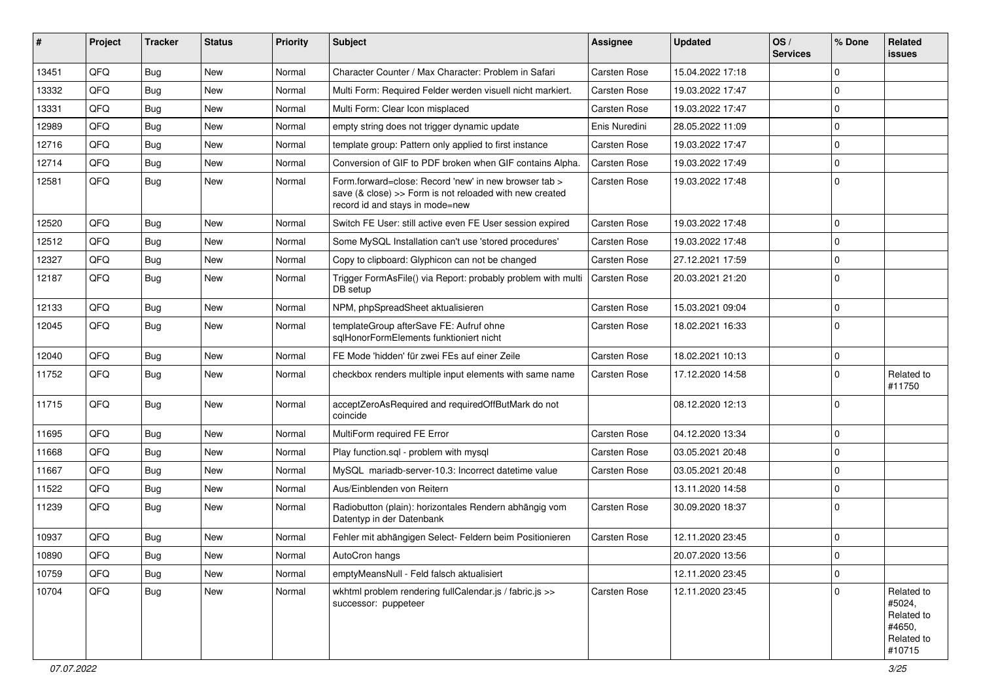| #     | Project | Tracker    | <b>Status</b> | <b>Priority</b> | Subject                                                                                                                                             | <b>Assignee</b>     | <b>Updated</b>   | OS/<br><b>Services</b> | % Done      | Related<br><b>issues</b>                                             |
|-------|---------|------------|---------------|-----------------|-----------------------------------------------------------------------------------------------------------------------------------------------------|---------------------|------------------|------------------------|-------------|----------------------------------------------------------------------|
| 13451 | QFQ     | <b>Bug</b> | <b>New</b>    | Normal          | Character Counter / Max Character: Problem in Safari                                                                                                | <b>Carsten Rose</b> | 15.04.2022 17:18 |                        | $\mathbf 0$ |                                                                      |
| 13332 | QFQ     | <b>Bug</b> | New           | Normal          | Multi Form: Required Felder werden visuell nicht markiert.                                                                                          | <b>Carsten Rose</b> | 19.03.2022 17:47 |                        | $\mathbf 0$ |                                                                      |
| 13331 | QFQ     | <b>Bug</b> | New           | Normal          | Multi Form: Clear Icon misplaced                                                                                                                    | <b>Carsten Rose</b> | 19.03.2022 17:47 |                        | $\mathbf 0$ |                                                                      |
| 12989 | QFQ     | <b>Bug</b> | New           | Normal          | empty string does not trigger dynamic update                                                                                                        | Enis Nuredini       | 28.05.2022 11:09 |                        | $\mathbf 0$ |                                                                      |
| 12716 | QFQ     | <b>Bug</b> | New           | Normal          | template group: Pattern only applied to first instance                                                                                              | <b>Carsten Rose</b> | 19.03.2022 17:47 |                        | $\mathbf 0$ |                                                                      |
| 12714 | QFQ     | <b>Bug</b> | <b>New</b>    | Normal          | Conversion of GIF to PDF broken when GIF contains Alpha.                                                                                            | <b>Carsten Rose</b> | 19.03.2022 17:49 |                        | $\mathbf 0$ |                                                                      |
| 12581 | QFQ     | Bug        | New           | Normal          | Form forward=close: Record 'new' in new browser tab ><br>save (& close) >> Form is not reloaded with new created<br>record id and stays in mode=new | <b>Carsten Rose</b> | 19.03.2022 17:48 |                        | $\mathbf 0$ |                                                                      |
| 12520 | QFQ     | <b>Bug</b> | New           | Normal          | Switch FE User: still active even FE User session expired                                                                                           | <b>Carsten Rose</b> | 19.03.2022 17:48 |                        | $\mathbf 0$ |                                                                      |
| 12512 | QFQ     | <b>Bug</b> | New           | Normal          | Some MySQL Installation can't use 'stored procedures'                                                                                               | <b>Carsten Rose</b> | 19.03.2022 17:48 |                        | $\Omega$    |                                                                      |
| 12327 | QFQ     | <b>Bug</b> | <b>New</b>    | Normal          | Copy to clipboard: Glyphicon can not be changed                                                                                                     | <b>Carsten Rose</b> | 27.12.2021 17:59 |                        | $\mathbf 0$ |                                                                      |
| 12187 | QFQ     | <b>Bug</b> | New           | Normal          | Trigger FormAsFile() via Report: probably problem with multi<br>DB setup                                                                            | <b>Carsten Rose</b> | 20.03.2021 21:20 |                        | $\mathbf 0$ |                                                                      |
| 12133 | QFQ     | <b>Bug</b> | New           | Normal          | NPM, phpSpreadSheet aktualisieren                                                                                                                   | <b>Carsten Rose</b> | 15.03.2021 09:04 |                        | $\mathbf 0$ |                                                                      |
| 12045 | QFQ     | Bug        | New           | Normal          | templateGroup afterSave FE: Aufruf ohne<br>sqlHonorFormElements funktioniert nicht                                                                  | <b>Carsten Rose</b> | 18.02.2021 16:33 |                        | $\mathbf 0$ |                                                                      |
| 12040 | QFQ     | <b>Bug</b> | New           | Normal          | FE Mode 'hidden' für zwei FEs auf einer Zeile                                                                                                       | <b>Carsten Rose</b> | 18.02.2021 10:13 |                        | $\mathbf 0$ |                                                                      |
| 11752 | QFQ     | Bug        | New           | Normal          | checkbox renders multiple input elements with same name                                                                                             | <b>Carsten Rose</b> | 17.12.2020 14:58 |                        | $\mathbf 0$ | Related to<br>#11750                                                 |
| 11715 | QFQ     | Bug        | <b>New</b>    | Normal          | acceptZeroAsRequired and requiredOffButMark do not<br>coincide                                                                                      |                     | 08.12.2020 12:13 |                        | $\mathbf 0$ |                                                                      |
| 11695 | QFQ     | <b>Bug</b> | <b>New</b>    | Normal          | MultiForm required FE Error                                                                                                                         | <b>Carsten Rose</b> | 04.12.2020 13:34 |                        | $\mathbf 0$ |                                                                      |
| 11668 | QFQ     | <b>Bug</b> | New           | Normal          | Play function.sql - problem with mysql                                                                                                              | Carsten Rose        | 03.05.2021 20:48 |                        | $\mathbf 0$ |                                                                      |
| 11667 | QFQ     | <b>Bug</b> | <b>New</b>    | Normal          | MySQL mariadb-server-10.3: Incorrect datetime value                                                                                                 | <b>Carsten Rose</b> | 03.05.2021 20:48 |                        | $\mathbf 0$ |                                                                      |
| 11522 | QFQ     | <b>Bug</b> | New           | Normal          | Aus/Einblenden von Reitern                                                                                                                          |                     | 13.11.2020 14:58 |                        | $\mathbf 0$ |                                                                      |
| 11239 | QFQ     | Bug        | New           | Normal          | Radiobutton (plain): horizontales Rendern abhängig vom<br>Datentyp in der Datenbank                                                                 | <b>Carsten Rose</b> | 30.09.2020 18:37 |                        | $\mathbf 0$ |                                                                      |
| 10937 | QFQ     | Bug        | New           | Normal          | Fehler mit abhängigen Select- Feldern beim Positionieren                                                                                            | Carsten Rose        | 12.11.2020 23:45 |                        | $\mathbf 0$ |                                                                      |
| 10890 | QFQ     | <b>Bug</b> | New           | Normal          | AutoCron hangs                                                                                                                                      |                     | 20.07.2020 13:56 |                        | $\pmb{0}$   |                                                                      |
| 10759 | QFQ     | Bug        | New           | Normal          | emptyMeansNull - Feld falsch aktualisiert                                                                                                           |                     | 12.11.2020 23:45 |                        | $\mathbf 0$ |                                                                      |
| 10704 | QFQ     | Bug        | New           | Normal          | wkhtml problem rendering fullCalendar.js / fabric.js >><br>successor: puppeteer                                                                     | Carsten Rose        | 12.11.2020 23:45 |                        | $\mathbf 0$ | Related to<br>#5024,<br>Related to<br>#4650,<br>Related to<br>#10715 |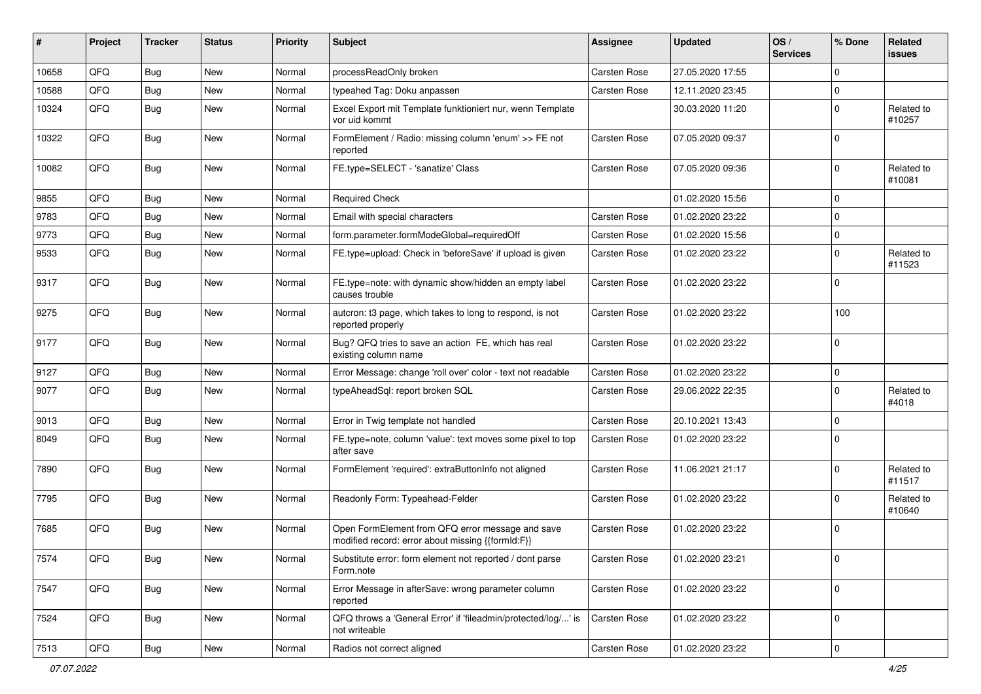| #     | Project | <b>Tracker</b> | <b>Status</b> | <b>Priority</b> | <b>Subject</b>                                                                                        | Assignee     | <b>Updated</b>   | OS/<br><b>Services</b> | % Done      | <b>Related</b><br><b>issues</b> |
|-------|---------|----------------|---------------|-----------------|-------------------------------------------------------------------------------------------------------|--------------|------------------|------------------------|-------------|---------------------------------|
| 10658 | QFQ     | <b>Bug</b>     | <b>New</b>    | Normal          | processReadOnly broken                                                                                | Carsten Rose | 27.05.2020 17:55 |                        | $\Omega$    |                                 |
| 10588 | QFQ     | Bug            | <b>New</b>    | Normal          | typeahed Tag: Doku anpassen                                                                           | Carsten Rose | 12.11.2020 23:45 |                        | $\Omega$    |                                 |
| 10324 | QFQ     | Bug            | New           | Normal          | Excel Export mit Template funktioniert nur, wenn Template<br>vor uid kommt                            |              | 30.03.2020 11:20 |                        | $\Omega$    | Related to<br>#10257            |
| 10322 | QFQ     | <b>Bug</b>     | <b>New</b>    | Normal          | FormElement / Radio: missing column 'enum' >> FE not<br>reported                                      | Carsten Rose | 07.05.2020 09:37 |                        | $\Omega$    |                                 |
| 10082 | QFQ     | Bug            | New           | Normal          | FE.type=SELECT - 'sanatize' Class                                                                     | Carsten Rose | 07.05.2020 09:36 |                        | $\Omega$    | Related to<br>#10081            |
| 9855  | QFQ     | <b>Bug</b>     | <b>New</b>    | Normal          | <b>Required Check</b>                                                                                 |              | 01.02.2020 15:56 |                        | $\Omega$    |                                 |
| 9783  | QFQ     | Bug            | <b>New</b>    | Normal          | Email with special characters                                                                         | Carsten Rose | 01.02.2020 23:22 |                        | $\mathbf 0$ |                                 |
| 9773  | QFQ     | <b>Bug</b>     | <b>New</b>    | Normal          | form.parameter.formModeGlobal=requiredOff                                                             | Carsten Rose | 01.02.2020 15:56 |                        | $\Omega$    |                                 |
| 9533  | QFQ     | Bug            | New           | Normal          | FE.type=upload: Check in 'beforeSave' if upload is given                                              | Carsten Rose | 01.02.2020 23:22 |                        | $\Omega$    | Related to<br>#11523            |
| 9317  | QFQ     | Bug            | <b>New</b>    | Normal          | FE.type=note: with dynamic show/hidden an empty label<br>causes trouble                               | Carsten Rose | 01.02.2020 23:22 |                        | $\mathbf 0$ |                                 |
| 9275  | QFQ     | <b>Bug</b>     | New           | Normal          | autcron: t3 page, which takes to long to respond, is not<br>reported properly                         | Carsten Rose | 01.02.2020 23:22 |                        | 100         |                                 |
| 9177  | QFQ     | Bug            | New           | Normal          | Bug? QFQ tries to save an action FE, which has real<br>existing column name                           | Carsten Rose | 01.02.2020 23:22 |                        | $\Omega$    |                                 |
| 9127  | QFQ     | <b>Bug</b>     | New           | Normal          | Error Message: change 'roll over' color - text not readable                                           | Carsten Rose | 01.02.2020 23:22 |                        | $\Omega$    |                                 |
| 9077  | QFQ     | Bug            | New           | Normal          | typeAheadSql: report broken SQL                                                                       | Carsten Rose | 29.06.2022 22:35 |                        | $\Omega$    | Related to<br>#4018             |
| 9013  | QFQ     | <b>Bug</b>     | <b>New</b>    | Normal          | Error in Twig template not handled                                                                    | Carsten Rose | 20.10.2021 13:43 |                        | $\Omega$    |                                 |
| 8049  | QFQ     | <b>Bug</b>     | <b>New</b>    | Normal          | FE.type=note, column 'value': text moves some pixel to top<br>after save                              | Carsten Rose | 01.02.2020 23:22 |                        | $\Omega$    |                                 |
| 7890  | QFQ     | <b>Bug</b>     | New           | Normal          | FormElement 'required': extraButtonInfo not aligned                                                   | Carsten Rose | 11.06.2021 21:17 |                        | $\Omega$    | Related to<br>#11517            |
| 7795  | QFQ     | Bug            | <b>New</b>    | Normal          | Readonly Form: Typeahead-Felder                                                                       | Carsten Rose | 01.02.2020 23:22 |                        | $\Omega$    | Related to<br>#10640            |
| 7685  | QFQ     | Bug            | <b>New</b>    | Normal          | Open FormElement from QFQ error message and save<br>modified record: error about missing {{formId:F}} | Carsten Rose | 01.02.2020 23:22 |                        | $\Omega$    |                                 |
| 7574  | QFQ     | <b>Bug</b>     | New           | Normal          | Substitute error: form element not reported / dont parse<br>Form.note                                 | Carsten Rose | 01.02.2020 23:21 |                        | 0           |                                 |
| 7547  | QFQ     | Bug            | New           | Normal          | Error Message in afterSave: wrong parameter column<br>reported                                        | Carsten Rose | 01.02.2020 23:22 |                        | $\mathbf 0$ |                                 |
| 7524  | QFQ     | Bug            | New           | Normal          | QFQ throws a 'General Error' if 'fileadmin/protected/log/' is<br>not writeable                        | Carsten Rose | 01.02.2020 23:22 |                        | 0           |                                 |
| 7513  | QFG     | Bug            | New           | Normal          | Radios not correct aligned                                                                            | Carsten Rose | 01.02.2020 23:22 |                        | $\pmb{0}$   |                                 |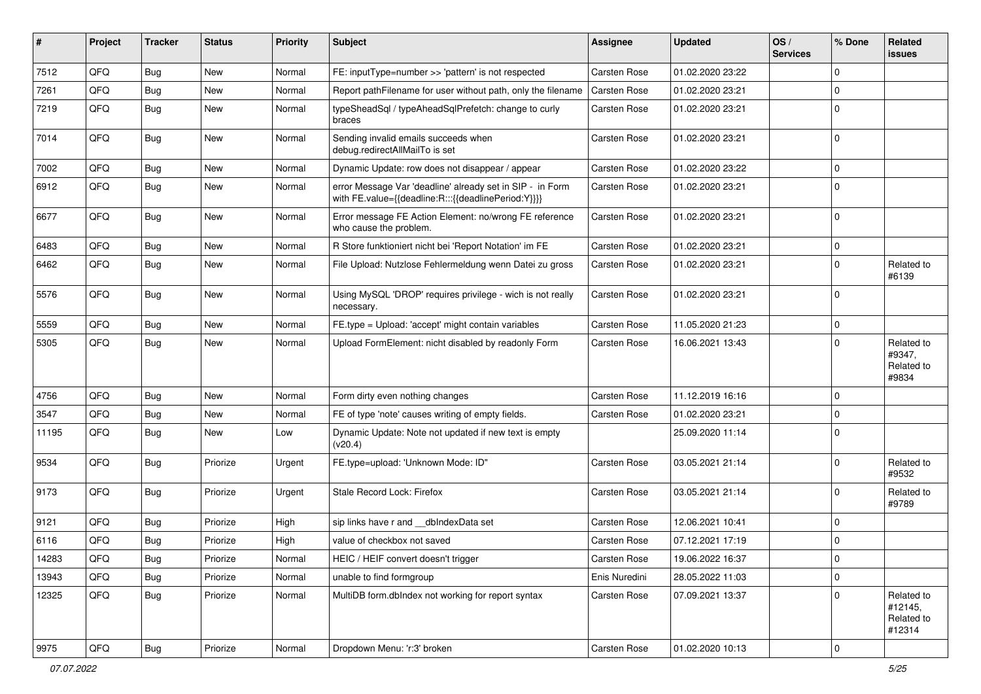| #     | Project        | <b>Tracker</b> | <b>Status</b> | <b>Priority</b> | <b>Subject</b>                                                                                                   | Assignee            | <b>Updated</b>   | OS/<br><b>Services</b> | % Done      | Related<br><b>issues</b>                      |
|-------|----------------|----------------|---------------|-----------------|------------------------------------------------------------------------------------------------------------------|---------------------|------------------|------------------------|-------------|-----------------------------------------------|
| 7512  | QFQ            | Bug            | <b>New</b>    | Normal          | FE: inputType=number >> 'pattern' is not respected                                                               | <b>Carsten Rose</b> | 01.02.2020 23:22 |                        | $\mathbf 0$ |                                               |
| 7261  | QFQ            | <b>Bug</b>     | New           | Normal          | Report pathFilename for user without path, only the filename                                                     | <b>Carsten Rose</b> | 01.02.2020 23:21 |                        | $\mathbf 0$ |                                               |
| 7219  | QFQ            | Bug            | New           | Normal          | typeSheadSql / typeAheadSqlPrefetch: change to curly<br>braces                                                   | Carsten Rose        | 01.02.2020 23:21 |                        | $\Omega$    |                                               |
| 7014  | QFQ            | <b>Bug</b>     | <b>New</b>    | Normal          | Sending invalid emails succeeds when<br>debug.redirectAllMailTo is set                                           | Carsten Rose        | 01.02.2020 23:21 |                        | $\mathbf 0$ |                                               |
| 7002  | QFQ            | <b>Bug</b>     | <b>New</b>    | Normal          | Dynamic Update: row does not disappear / appear                                                                  | Carsten Rose        | 01.02.2020 23:22 |                        | $\mathbf 0$ |                                               |
| 6912  | QFQ            | Bug            | <b>New</b>    | Normal          | error Message Var 'deadline' already set in SIP - in Form<br>with FE.value={{deadline:R:::{{deadlinePeriod:Y}}}} | Carsten Rose        | 01.02.2020 23:21 |                        | $\Omega$    |                                               |
| 6677  | QFQ            | <b>Bug</b>     | <b>New</b>    | Normal          | Error message FE Action Element: no/wrong FE reference<br>who cause the problem.                                 | Carsten Rose        | 01.02.2020 23:21 |                        | $\mathbf 0$ |                                               |
| 6483  | QFQ            | Bug            | <b>New</b>    | Normal          | R Store funktioniert nicht bei 'Report Notation' im FE                                                           | Carsten Rose        | 01.02.2020 23:21 |                        | $\mathbf 0$ |                                               |
| 6462  | QFQ            | Bug            | <b>New</b>    | Normal          | File Upload: Nutzlose Fehlermeldung wenn Datei zu gross                                                          | Carsten Rose        | 01.02.2020 23:21 |                        | $\mathbf 0$ | Related to<br>#6139                           |
| 5576  | QFQ            | Bug            | <b>New</b>    | Normal          | Using MySQL 'DROP' requires privilege - wich is not really<br>necessary.                                         | Carsten Rose        | 01.02.2020 23:21 |                        | $\mathbf 0$ |                                               |
| 5559  | QFQ            | <b>Bug</b>     | <b>New</b>    | Normal          | FE.type = Upload: 'accept' might contain variables                                                               | Carsten Rose        | 11.05.2020 21:23 |                        | $\pmb{0}$   |                                               |
| 5305  | QFQ            | Bug            | <b>New</b>    | Normal          | Upload FormElement: nicht disabled by readonly Form                                                              | <b>Carsten Rose</b> | 16.06.2021 13:43 |                        | $\mathbf 0$ | Related to<br>#9347,<br>Related to<br>#9834   |
| 4756  | QFQ            | Bug            | <b>New</b>    | Normal          | Form dirty even nothing changes                                                                                  | Carsten Rose        | 11.12.2019 16:16 |                        | $\mathbf 0$ |                                               |
| 3547  | QFQ            | <b>Bug</b>     | <b>New</b>    | Normal          | FE of type 'note' causes writing of empty fields.                                                                | Carsten Rose        | 01.02.2020 23:21 |                        | $\mathbf 0$ |                                               |
| 11195 | QFQ            | Bug            | New           | Low             | Dynamic Update: Note not updated if new text is empty<br>(v20.4)                                                 |                     | 25.09.2020 11:14 |                        | $\mathbf 0$ |                                               |
| 9534  | QFQ            | Bug            | Priorize      | Urgent          | FE.type=upload: 'Unknown Mode: ID"                                                                               | Carsten Rose        | 03.05.2021 21:14 |                        | $\mathbf 0$ | Related to<br>#9532                           |
| 9173  | QFQ            | Bug            | Priorize      | Urgent          | Stale Record Lock: Firefox                                                                                       | Carsten Rose        | 03.05.2021 21:14 |                        | $\mathbf 0$ | Related to<br>#9789                           |
| 9121  | QFQ            | <b>Bug</b>     | Priorize      | High            | sip links have r and dblndexData set                                                                             | Carsten Rose        | 12.06.2021 10:41 |                        | $\mathbf 0$ |                                               |
| 6116  | QFQ            | <b>Bug</b>     | Priorize      | High            | value of checkbox not saved                                                                                      | <b>Carsten Rose</b> | 07.12.2021 17:19 |                        | $\mathbf 0$ |                                               |
| 14283 | QFQ            | Bug            | Priorize      | Normal          | HEIC / HEIF convert doesn't trigger                                                                              | Carsten Rose        | 19.06.2022 16:37 |                        | $\mathbf 0$ |                                               |
| 13943 | QFQ            | <b>Bug</b>     | Priorize      | Normal          | unable to find formgroup                                                                                         | Enis Nuredini       | 28.05.2022 11:03 |                        | $\pmb{0}$   |                                               |
| 12325 | QFQ            | Bug            | Priorize      | Normal          | MultiDB form.dblndex not working for report syntax                                                               | Carsten Rose        | 07.09.2021 13:37 |                        | $\mathbf 0$ | Related to<br>#12145,<br>Related to<br>#12314 |
| 9975  | $\mathsf{QFQ}$ | Bug            | Priorize      | Normal          | Dropdown Menu: 'r:3' broken                                                                                      | Carsten Rose        | 01.02.2020 10:13 |                        | $\pmb{0}$   |                                               |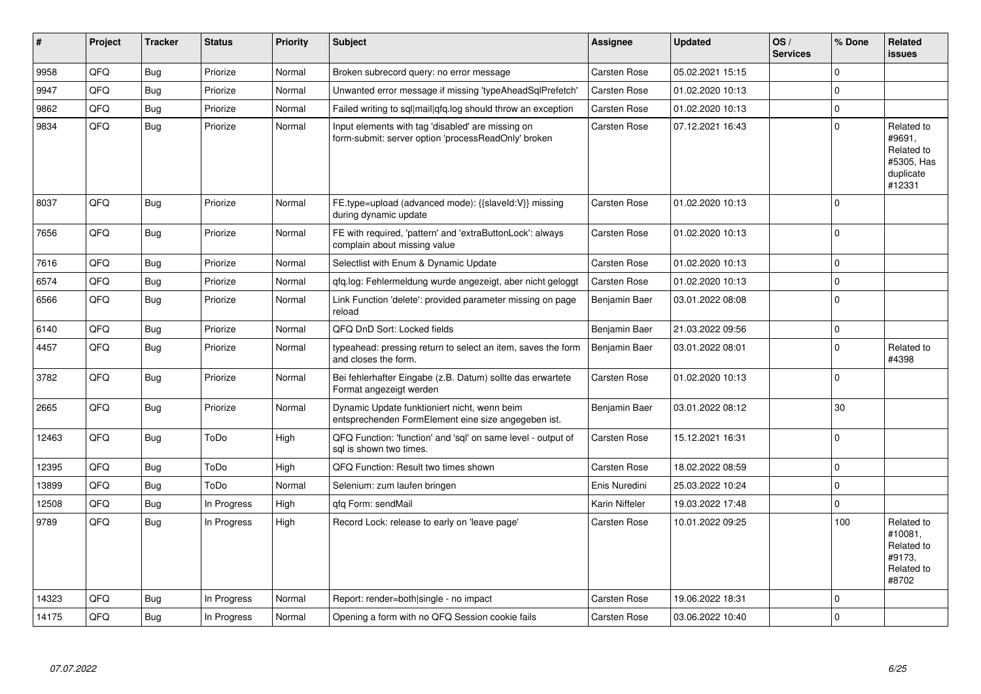| #     | Project | <b>Tracker</b> | <b>Status</b> | <b>Priority</b> | <b>Subject</b>                                                                                           | Assignee       | <b>Updated</b>   | OS/<br><b>Services</b> | % Done       | <b>Related</b><br>issues                                                |
|-------|---------|----------------|---------------|-----------------|----------------------------------------------------------------------------------------------------------|----------------|------------------|------------------------|--------------|-------------------------------------------------------------------------|
| 9958  | QFQ     | Bug            | Priorize      | Normal          | Broken subrecord query: no error message                                                                 | Carsten Rose   | 05.02.2021 15:15 |                        | 0            |                                                                         |
| 9947  | QFQ     | Bug            | Priorize      | Normal          | Unwanted error message if missing 'typeAheadSqlPrefetch'                                                 | Carsten Rose   | 01.02.2020 10:13 |                        | $\pmb{0}$    |                                                                         |
| 9862  | QFQ     | Bug            | Priorize      | Normal          | Failed writing to sql mail qfq.log should throw an exception                                             | Carsten Rose   | 01.02.2020 10:13 |                        | $\pmb{0}$    |                                                                         |
| 9834  | QFQ     | Bug            | Priorize      | Normal          | Input elements with tag 'disabled' are missing on<br>form-submit: server option 'processReadOnly' broken | Carsten Rose   | 07.12.2021 16:43 |                        | $\mathbf 0$  | Related to<br>#9691.<br>Related to<br>#5305. Has<br>duplicate<br>#12331 |
| 8037  | QFQ     | Bug            | Priorize      | Normal          | FE.type=upload (advanced mode): {{slaveld:V}} missing<br>during dynamic update                           | Carsten Rose   | 01.02.2020 10:13 |                        | 0            |                                                                         |
| 7656  | QFQ     | Bug            | Priorize      | Normal          | FE with required, 'pattern' and 'extraButtonLock': always<br>complain about missing value                | Carsten Rose   | 01.02.2020 10:13 |                        | $\mathbf{0}$ |                                                                         |
| 7616  | QFQ     | <b>Bug</b>     | Priorize      | Normal          | Selectlist with Enum & Dynamic Update                                                                    | Carsten Rose   | 01.02.2020 10:13 |                        | 0            |                                                                         |
| 6574  | QFQ     | <b>Bug</b>     | Priorize      | Normal          | qfq.log: Fehlermeldung wurde angezeigt, aber nicht geloggt                                               | Carsten Rose   | 01.02.2020 10:13 |                        | $\mathbf{0}$ |                                                                         |
| 6566  | QFQ     | <b>Bug</b>     | Priorize      | Normal          | Link Function 'delete': provided parameter missing on page<br>reload                                     | Benjamin Baer  | 03.01.2022 08:08 |                        | $\mathbf 0$  |                                                                         |
| 6140  | QFQ     | Bug            | Priorize      | Normal          | QFQ DnD Sort: Locked fields                                                                              | Benjamin Baer  | 21.03.2022 09:56 |                        | $\pmb{0}$    |                                                                         |
| 4457  | QFQ     | Bug            | Priorize      | Normal          | typeahead: pressing return to select an item, saves the form<br>and closes the form.                     | Benjamin Baer  | 03.01.2022 08:01 |                        | $\pmb{0}$    | Related to<br>#4398                                                     |
| 3782  | QFQ     | <b>Bug</b>     | Priorize      | Normal          | Bei fehlerhafter Eingabe (z.B. Datum) sollte das erwartete<br>Format angezeigt werden                    | Carsten Rose   | 01.02.2020 10:13 |                        | $\mathbf 0$  |                                                                         |
| 2665  | QFQ     | Bug            | Priorize      | Normal          | Dynamic Update funktioniert nicht, wenn beim<br>entsprechenden FormElement eine size angegeben ist.      | Benjamin Baer  | 03.01.2022 08:12 |                        | 30           |                                                                         |
| 12463 | QFQ     | Bug            | ToDo          | High            | QFQ Function: 'function' and 'sgl' on same level - output of<br>sql is shown two times.                  | Carsten Rose   | 15.12.2021 16:31 |                        | 0            |                                                                         |
| 12395 | QFQ     | <b>Bug</b>     | ToDo          | High            | QFQ Function: Result two times shown                                                                     | Carsten Rose   | 18.02.2022 08:59 |                        | $\pmb{0}$    |                                                                         |
| 13899 | QFQ     | Bug            | ToDo          | Normal          | Selenium: zum laufen bringen                                                                             | Enis Nuredini  | 25.03.2022 10:24 |                        | $\pmb{0}$    |                                                                         |
| 12508 | QFQ     | <b>Bug</b>     | In Progress   | High            | qfq Form: sendMail                                                                                       | Karin Niffeler | 19.03.2022 17:48 |                        | $\pmb{0}$    |                                                                         |
| 9789  | QFQ     | <b>Bug</b>     | In Progress   | High            | Record Lock: release to early on 'leave page'                                                            | Carsten Rose   | 10.01.2022 09:25 |                        | 100          | Related to<br>#10081.<br>Related to<br>#9173.<br>Related to<br>#8702    |
| 14323 | QFQ     | Bug            | In Progress   | Normal          | Report: render=both single - no impact                                                                   | Carsten Rose   | 19.06.2022 18:31 |                        | $\mathbf 0$  |                                                                         |
| 14175 | QFQ     | <b>Bug</b>     | In Progress   | Normal          | Opening a form with no QFQ Session cookie fails                                                          | Carsten Rose   | 03.06.2022 10:40 |                        | 0            |                                                                         |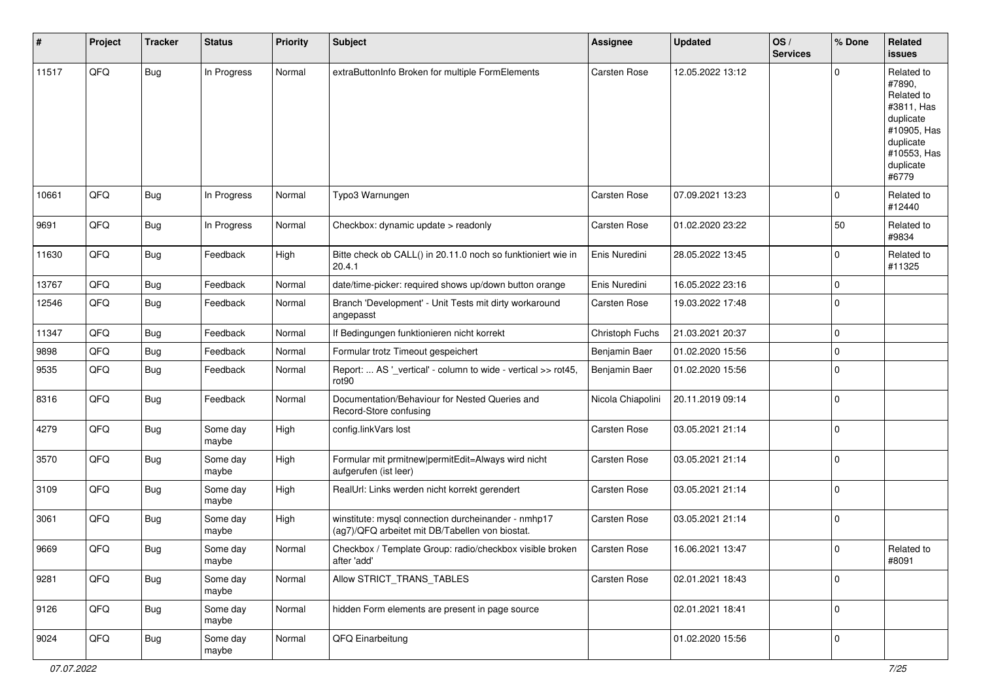| #     | Project | <b>Tracker</b> | <b>Status</b>     | <b>Priority</b> | <b>Subject</b>                                                                                         | <b>Assignee</b>   | <b>Updated</b>   | OS/<br><b>Services</b> | % Done      | <b>Related</b><br><b>issues</b>                                                                                                |
|-------|---------|----------------|-------------------|-----------------|--------------------------------------------------------------------------------------------------------|-------------------|------------------|------------------------|-------------|--------------------------------------------------------------------------------------------------------------------------------|
| 11517 | QFQ     | Bug            | In Progress       | Normal          | extraButtonInfo Broken for multiple FormElements                                                       | Carsten Rose      | 12.05.2022 13:12 |                        | $\Omega$    | Related to<br>#7890,<br>Related to<br>#3811, Has<br>duplicate<br>#10905, Has<br>duplicate<br>#10553, Has<br>duplicate<br>#6779 |
| 10661 | QFQ     | Bug            | In Progress       | Normal          | Typo3 Warnungen                                                                                        | Carsten Rose      | 07.09.2021 13:23 |                        | $\Omega$    | Related to<br>#12440                                                                                                           |
| 9691  | QFQ     | Bug            | In Progress       | Normal          | Checkbox: dynamic update > readonly                                                                    | Carsten Rose      | 01.02.2020 23:22 |                        | 50          | Related to<br>#9834                                                                                                            |
| 11630 | QFQ     | Bug            | Feedback          | High            | Bitte check ob CALL() in 20.11.0 noch so funktioniert wie in<br>20.4.1                                 | Enis Nuredini     | 28.05.2022 13:45 |                        | $\Omega$    | Related to<br>#11325                                                                                                           |
| 13767 | QFQ     | <b>Bug</b>     | Feedback          | Normal          | date/time-picker: required shows up/down button orange                                                 | Enis Nuredini     | 16.05.2022 23:16 |                        | $\Omega$    |                                                                                                                                |
| 12546 | QFQ     | Bug            | Feedback          | Normal          | Branch 'Development' - Unit Tests mit dirty workaround<br>angepasst                                    | Carsten Rose      | 19.03.2022 17:48 |                        | $\Omega$    |                                                                                                                                |
| 11347 | QFQ     | <b>Bug</b>     | Feedback          | Normal          | If Bedingungen funktionieren nicht korrekt                                                             | Christoph Fuchs   | 21.03.2021 20:37 |                        | $\Omega$    |                                                                                                                                |
| 9898  | QFQ     | <b>Bug</b>     | Feedback          | Normal          | Formular trotz Timeout gespeichert                                                                     | Benjamin Baer     | 01.02.2020 15:56 |                        | $\Omega$    |                                                                                                                                |
| 9535  | QFQ     | Bug            | Feedback          | Normal          | Report:  AS '_vertical' - column to wide - vertical >> rot45,<br>rot90                                 | Benjamin Baer     | 01.02.2020 15:56 |                        | $\Omega$    |                                                                                                                                |
| 8316  | QFQ     | <b>Bug</b>     | Feedback          | Normal          | Documentation/Behaviour for Nested Queries and<br>Record-Store confusing                               | Nicola Chiapolini | 20.11.2019 09:14 |                        | $\Omega$    |                                                                                                                                |
| 4279  | QFQ     | <b>Bug</b>     | Some day<br>maybe | High            | config.linkVars lost                                                                                   | Carsten Rose      | 03.05.2021 21:14 |                        | $\Omega$    |                                                                                                                                |
| 3570  | QFQ     | Bug            | Some day<br>maybe | High            | Formular mit prmitnew   permitEdit=Always wird nicht<br>aufgerufen (ist leer)                          | Carsten Rose      | 03.05.2021 21:14 |                        | $\Omega$    |                                                                                                                                |
| 3109  | QFQ     | <b>Bug</b>     | Some day<br>maybe | High            | RealUrl: Links werden nicht korrekt gerendert                                                          | Carsten Rose      | 03.05.2021 21:14 |                        | $\mathbf 0$ |                                                                                                                                |
| 3061  | QFQ     | Bug            | Some day<br>maybe | High            | winstitute: mysql connection durcheinander - nmhp17<br>(ag7)/QFQ arbeitet mit DB/Tabellen von biostat. | Carsten Rose      | 03.05.2021 21:14 |                        | $\mathbf 0$ |                                                                                                                                |
| 9669  | QFQ     | Bug            | Some day<br>maybe | Normal          | Checkbox / Template Group: radio/checkbox visible broken<br>after 'add'                                | Carsten Rose      | 16.06.2021 13:47 |                        | 0           | Related to<br>#8091                                                                                                            |
| 9281  | QFQ     | <b>Bug</b>     | Some day<br>maybe | Normal          | Allow STRICT_TRANS_TABLES                                                                              | Carsten Rose      | 02.01.2021 18:43 |                        | $\mathbf 0$ |                                                                                                                                |
| 9126  | QFG     | <b>Bug</b>     | Some day<br>maybe | Normal          | hidden Form elements are present in page source                                                        |                   | 02.01.2021 18:41 |                        | 0           |                                                                                                                                |
| 9024  | QFO     | <b>Bug</b>     | Some day<br>maybe | Normal          | QFQ Einarbeitung                                                                                       |                   | 01.02.2020 15:56 |                        | 0           |                                                                                                                                |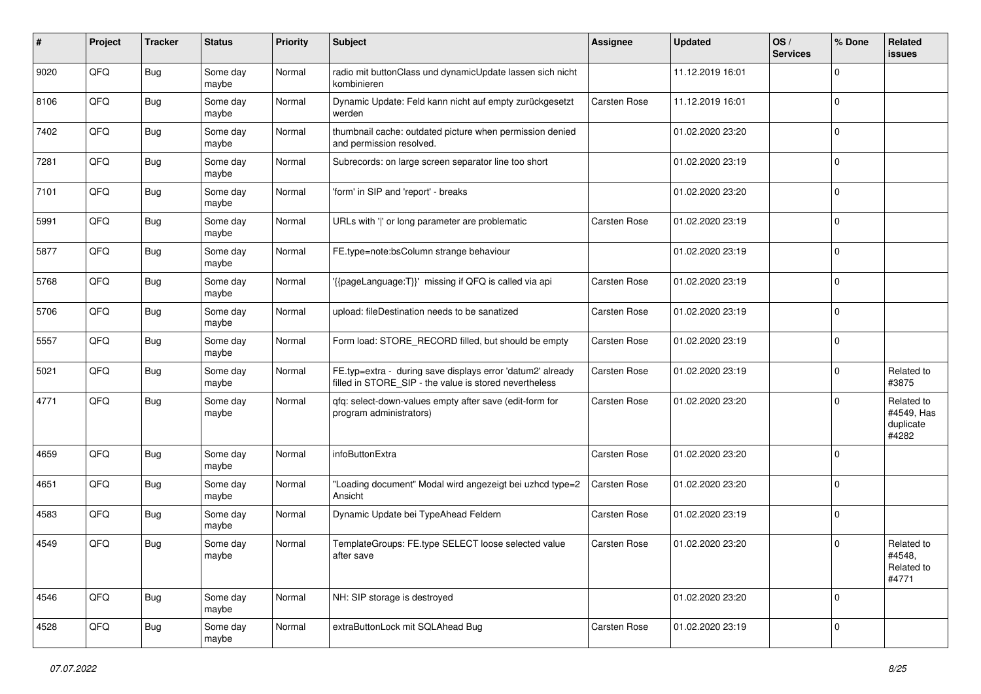| #    | Project | <b>Tracker</b> | <b>Status</b>     | <b>Priority</b> | <b>Subject</b>                                                                                                       | <b>Assignee</b> | <b>Updated</b>   | OS/<br><b>Services</b> | % Done      | <b>Related</b><br>issues                       |
|------|---------|----------------|-------------------|-----------------|----------------------------------------------------------------------------------------------------------------------|-----------------|------------------|------------------------|-------------|------------------------------------------------|
| 9020 | QFQ     | <b>Bug</b>     | Some day<br>maybe | Normal          | radio mit buttonClass und dynamicUpdate lassen sich nicht<br>kombinieren                                             |                 | 11.12.2019 16:01 |                        | $\Omega$    |                                                |
| 8106 | QFQ     | Bug            | Some day<br>maybe | Normal          | Dynamic Update: Feld kann nicht auf empty zurückgesetzt<br>werden                                                    | Carsten Rose    | 11.12.2019 16:01 |                        | $\mathbf 0$ |                                                |
| 7402 | QFQ     | Bug            | Some day<br>maybe | Normal          | thumbnail cache: outdated picture when permission denied<br>and permission resolved.                                 |                 | 01.02.2020 23:20 |                        | $\Omega$    |                                                |
| 7281 | QFQ     | <b>Bug</b>     | Some day<br>maybe | Normal          | Subrecords: on large screen separator line too short                                                                 |                 | 01.02.2020 23:19 |                        | $\mathbf 0$ |                                                |
| 7101 | QFQ     | <b>Bug</b>     | Some day<br>maybe | Normal          | 'form' in SIP and 'report' - breaks                                                                                  |                 | 01.02.2020 23:20 |                        | $\mathbf 0$ |                                                |
| 5991 | QFQ     | <b>Bug</b>     | Some day<br>maybe | Normal          | URLs with ' ' or long parameter are problematic                                                                      | Carsten Rose    | 01.02.2020 23:19 |                        | $\Omega$    |                                                |
| 5877 | QFQ     | <b>Bug</b>     | Some day<br>maybe | Normal          | FE.type=note:bsColumn strange behaviour                                                                              |                 | 01.02.2020 23:19 |                        | $\mathbf 0$ |                                                |
| 5768 | QFQ     | <b>Bug</b>     | Some day<br>maybe | Normal          | '{{pageLanguage:T}}' missing if QFQ is called via api                                                                | Carsten Rose    | 01.02.2020 23:19 |                        | $\mathbf 0$ |                                                |
| 5706 | QFQ     | Bug            | Some day<br>maybe | Normal          | upload: fileDestination needs to be sanatized                                                                        | Carsten Rose    | 01.02.2020 23:19 |                        | $\mathbf 0$ |                                                |
| 5557 | QFQ     | <b>Bug</b>     | Some day<br>maybe | Normal          | Form load: STORE_RECORD filled, but should be empty                                                                  | Carsten Rose    | 01.02.2020 23:19 |                        | $\mathbf 0$ |                                                |
| 5021 | QFQ     | Bug            | Some day<br>maybe | Normal          | FE.typ=extra - during save displays error 'datum2' already<br>filled in STORE_SIP - the value is stored nevertheless | Carsten Rose    | 01.02.2020 23:19 |                        | $\mathbf 0$ | Related to<br>#3875                            |
| 4771 | QFQ     | <b>Bug</b>     | Some day<br>maybe | Normal          | qfq: select-down-values empty after save (edit-form for<br>program administrators)                                   | Carsten Rose    | 01.02.2020 23:20 |                        | $\mathbf 0$ | Related to<br>#4549, Has<br>duplicate<br>#4282 |
| 4659 | QFQ     | Bug            | Some day<br>maybe | Normal          | infoButtonExtra                                                                                                      | Carsten Rose    | 01.02.2020 23:20 |                        | $\mathbf 0$ |                                                |
| 4651 | QFQ     | <b>Bug</b>     | Some day<br>maybe | Normal          | 'Loading document" Modal wird angezeigt bei uzhcd type=2<br>Ansicht                                                  | Carsten Rose    | 01.02.2020 23:20 |                        | $\Omega$    |                                                |
| 4583 | QFQ     | Bug            | Some day<br>maybe | Normal          | Dynamic Update bei TypeAhead Feldern                                                                                 | Carsten Rose    | 01.02.2020 23:19 |                        | $\mathbf 0$ |                                                |
| 4549 | QFQ     | Bug            | Some day<br>maybe | Normal          | TemplateGroups: FE.type SELECT loose selected value<br>after save                                                    | Carsten Rose    | 01.02.2020 23:20 |                        | $\Omega$    | Related to<br>#4548,<br>Related to<br>#4771    |
| 4546 | QFQ     | Bug            | Some day<br>maybe | Normal          | NH: SIP storage is destroyed                                                                                         |                 | 01.02.2020 23:20 |                        | $\mathbf 0$ |                                                |
| 4528 | QFG     | Bug            | Some day<br>maybe | Normal          | extraButtonLock mit SQLAhead Bug                                                                                     | Carsten Rose    | 01.02.2020 23:19 |                        | $\Omega$    |                                                |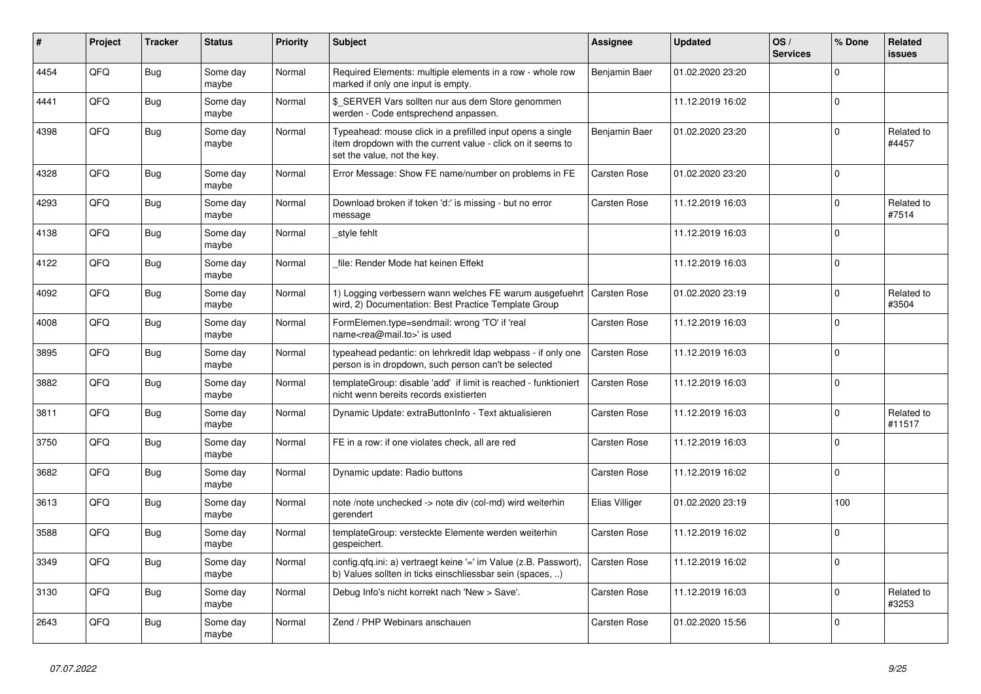| #    | Project | <b>Tracker</b> | <b>Status</b>     | <b>Priority</b> | <b>Subject</b>                                                                                                                                           | Assignee            | <b>Updated</b>   | OS/<br><b>Services</b> | % Done      | Related<br><b>issues</b> |
|------|---------|----------------|-------------------|-----------------|----------------------------------------------------------------------------------------------------------------------------------------------------------|---------------------|------------------|------------------------|-------------|--------------------------|
| 4454 | QFQ     | <b>Bug</b>     | Some day<br>maybe | Normal          | Required Elements: multiple elements in a row - whole row<br>marked if only one input is empty.                                                          | Benjamin Baer       | 01.02.2020 23:20 |                        | $\Omega$    |                          |
| 4441 | QFQ     | <b>Bug</b>     | Some day<br>maybe | Normal          | \$ SERVER Vars sollten nur aus dem Store genommen<br>werden - Code entsprechend anpassen.                                                                |                     | 11.12.2019 16:02 |                        | $\Omega$    |                          |
| 4398 | QFQ     | Bug            | Some day<br>maybe | Normal          | Typeahead: mouse click in a prefilled input opens a single<br>item dropdown with the current value - click on it seems to<br>set the value, not the key. | Benjamin Baer       | 01.02.2020 23:20 |                        | $\Omega$    | Related to<br>#4457      |
| 4328 | QFQ     | Bug            | Some day<br>maybe | Normal          | Error Message: Show FE name/number on problems in FE                                                                                                     | Carsten Rose        | 01.02.2020 23:20 |                        | $\Omega$    |                          |
| 4293 | QFQ     | <b>Bug</b>     | Some day<br>maybe | Normal          | Download broken if token 'd:' is missing - but no error<br>message                                                                                       | Carsten Rose        | 11.12.2019 16:03 |                        | $\Omega$    | Related to<br>#7514      |
| 4138 | QFQ     | <b>Bug</b>     | Some day<br>maybe | Normal          | style fehlt                                                                                                                                              |                     | 11.12.2019 16:03 |                        | $\Omega$    |                          |
| 4122 | QFQ     | <b>Bug</b>     | Some day<br>maybe | Normal          | file: Render Mode hat keinen Effekt                                                                                                                      |                     | 11.12.2019 16:03 |                        | $\Omega$    |                          |
| 4092 | QFQ     | <b>Bug</b>     | Some day<br>maybe | Normal          | 1) Logging verbessern wann welches FE warum ausgefuehrt<br>wird, 2) Documentation: Best Practice Template Group                                          | <b>Carsten Rose</b> | 01.02.2020 23:19 |                        | $\Omega$    | Related to<br>#3504      |
| 4008 | QFQ     | Bug            | Some day<br>maybe | Normal          | FormElemen.type=sendmail: wrong 'TO' if 'real<br>name <rea@mail.to>' is used</rea@mail.to>                                                               | Carsten Rose        | 11.12.2019 16:03 |                        | $\Omega$    |                          |
| 3895 | QFQ     | <b>Bug</b>     | Some day<br>maybe | Normal          | typeahead pedantic: on lehrkredit Idap webpass - if only one<br>person is in dropdown, such person can't be selected                                     | Carsten Rose        | 11.12.2019 16:03 |                        | $\Omega$    |                          |
| 3882 | QFQ     | <b>Bug</b>     | Some day<br>maybe | Normal          | templateGroup: disable 'add' if limit is reached - funktioniert<br>nicht wenn bereits records existierten                                                | Carsten Rose        | 11.12.2019 16:03 |                        | $\Omega$    |                          |
| 3811 | QFQ     | <b>Bug</b>     | Some day<br>maybe | Normal          | Dynamic Update: extraButtonInfo - Text aktualisieren                                                                                                     | Carsten Rose        | 11.12.2019 16:03 |                        | $\Omega$    | Related to<br>#11517     |
| 3750 | QFQ     | <b>Bug</b>     | Some day<br>maybe | Normal          | FE in a row: if one violates check, all are red                                                                                                          | Carsten Rose        | 11.12.2019 16:03 |                        | $\Omega$    |                          |
| 3682 | QFQ     | <b>Bug</b>     | Some day<br>maybe | Normal          | Dynamic update: Radio buttons                                                                                                                            | Carsten Rose        | 11.12.2019 16:02 |                        | $\Omega$    |                          |
| 3613 | QFQ     | Bug            | Some day<br>maybe | Normal          | note /note unchecked -> note div (col-md) wird weiterhin<br>gerendert                                                                                    | Elias Villiger      | 01.02.2020 23:19 |                        | 100         |                          |
| 3588 | QFQ     | <b>Bug</b>     | Some day<br>maybe | Normal          | templateGroup: versteckte Elemente werden weiterhin<br>gespeichert.                                                                                      | Carsten Rose        | 11.12.2019 16:02 |                        | $\mathbf 0$ |                          |
| 3349 | QFQ     | <b>Bug</b>     | Some day<br>maybe | Normal          | config.qfq.ini: a) vertraegt keine '=' im Value (z.B. Passwort),<br>b) Values sollten in ticks einschliessbar sein (spaces, )                            | Carsten Rose        | 11.12.2019 16:02 |                        | $\Omega$    |                          |
| 3130 | QFQ     | Bug            | Some day<br>maybe | Normal          | Debug Info's nicht korrekt nach 'New > Save'.                                                                                                            | Carsten Rose        | 11.12.2019 16:03 |                        | $\Omega$    | Related to<br>#3253      |
| 2643 | QFQ     | Bug            | Some day<br>maybe | Normal          | Zend / PHP Webinars anschauen                                                                                                                            | Carsten Rose        | 01.02.2020 15:56 |                        | $\Omega$    |                          |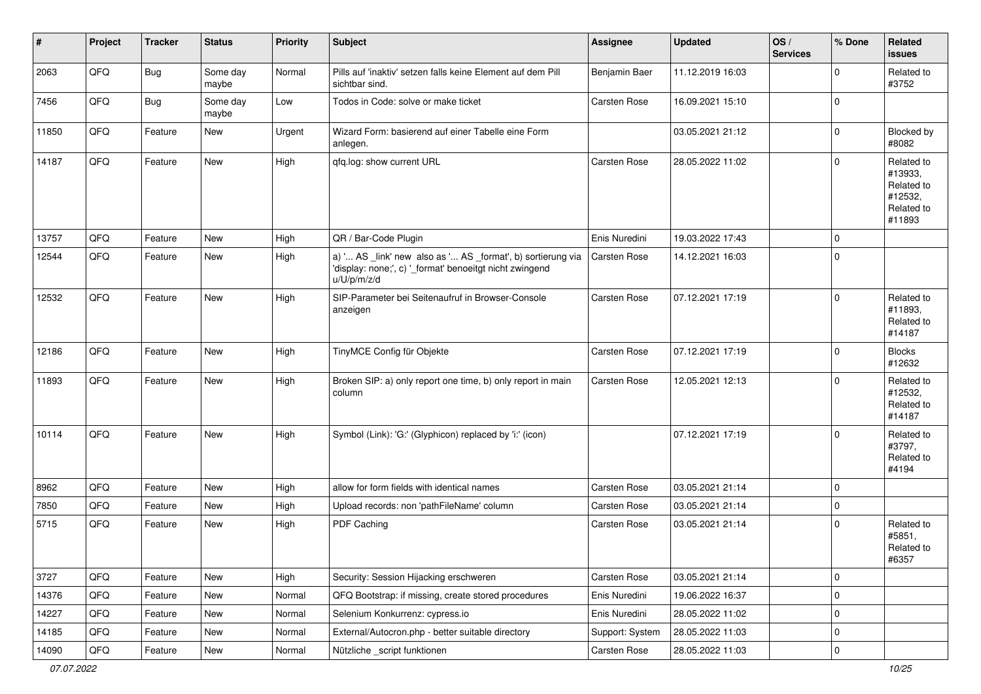| #     | Project | <b>Tracker</b> | <b>Status</b>     | <b>Priority</b> | <b>Subject</b>                                                                                                                        | <b>Assignee</b> | <b>Updated</b>   | OS/<br><b>Services</b> | % Done      | Related<br><b>issues</b>                                               |
|-------|---------|----------------|-------------------|-----------------|---------------------------------------------------------------------------------------------------------------------------------------|-----------------|------------------|------------------------|-------------|------------------------------------------------------------------------|
| 2063  | QFQ     | Bug            | Some day<br>maybe | Normal          | Pills auf 'inaktiv' setzen falls keine Element auf dem Pill<br>sichtbar sind.                                                         | Benjamin Baer   | 11.12.2019 16:03 |                        | $\Omega$    | Related to<br>#3752                                                    |
| 7456  | QFQ     | Bug            | Some day<br>maybe | Low             | Todos in Code: solve or make ticket                                                                                                   | Carsten Rose    | 16.09.2021 15:10 |                        | $\mathbf 0$ |                                                                        |
| 11850 | QFQ     | Feature        | <b>New</b>        | Urgent          | Wizard Form: basierend auf einer Tabelle eine Form<br>anlegen.                                                                        |                 | 03.05.2021 21:12 |                        | $\mathbf 0$ | Blocked by<br>#8082                                                    |
| 14187 | QFQ     | Feature        | <b>New</b>        | High            | qfq.log: show current URL                                                                                                             | Carsten Rose    | 28.05.2022 11:02 |                        | $\mathbf 0$ | Related to<br>#13933,<br>Related to<br>#12532,<br>Related to<br>#11893 |
| 13757 | QFQ     | Feature        | New               | High            | QR / Bar-Code Plugin                                                                                                                  | Enis Nuredini   | 19.03.2022 17:43 |                        | $\mathbf 0$ |                                                                        |
| 12544 | QFQ     | Feature        | New               | High            | a) ' AS _link' new also as ' AS _format', b) sortierung via<br>'display: none;', c) '_format' benoeitgt nicht zwingend<br>u/U/p/m/z/d | Carsten Rose    | 14.12.2021 16:03 |                        | $\mathbf 0$ |                                                                        |
| 12532 | QFQ     | Feature        | <b>New</b>        | High            | SIP-Parameter bei Seitenaufruf in Browser-Console<br>anzeigen                                                                         | Carsten Rose    | 07.12.2021 17:19 |                        | $\Omega$    | Related to<br>#11893,<br>Related to<br>#14187                          |
| 12186 | QFQ     | Feature        | New               | High            | TinyMCE Config für Objekte                                                                                                            | Carsten Rose    | 07.12.2021 17:19 |                        | $\mathbf 0$ | <b>Blocks</b><br>#12632                                                |
| 11893 | QFQ     | Feature        | New               | High            | Broken SIP: a) only report one time, b) only report in main<br>column                                                                 | Carsten Rose    | 12.05.2021 12:13 |                        | $\Omega$    | Related to<br>#12532,<br>Related to<br>#14187                          |
| 10114 | QFQ     | Feature        | <b>New</b>        | High            | Symbol (Link): 'G:' (Glyphicon) replaced by 'i:' (icon)                                                                               |                 | 07.12.2021 17:19 |                        | $\mathbf 0$ | Related to<br>#3797,<br>Related to<br>#4194                            |
| 8962  | QFQ     | Feature        | New               | High            | allow for form fields with identical names                                                                                            | Carsten Rose    | 03.05.2021 21:14 |                        | $\Omega$    |                                                                        |
| 7850  | QFQ     | Feature        | New               | High            | Upload records: non 'pathFileName' column                                                                                             | Carsten Rose    | 03.05.2021 21:14 |                        | $\mathbf 0$ |                                                                        |
| 5715  | QFQ     | Feature        | New               | High            | PDF Caching                                                                                                                           | Carsten Rose    | 03.05.2021 21:14 |                        | $\mathbf 0$ | Related to<br>#5851,<br>Related to<br>#6357                            |
| 3727  | QFQ     | Feature        | New               | High            | Security: Session Hijacking erschweren                                                                                                | Carsten Rose    | 03.05.2021 21:14 |                        | $\mathbf 0$ |                                                                        |
| 14376 | QFQ     | Feature        | New               | Normal          | QFQ Bootstrap: if missing, create stored procedures                                                                                   | Enis Nuredini   | 19.06.2022 16:37 |                        | 0           |                                                                        |
| 14227 | QFQ     | Feature        | New               | Normal          | Selenium Konkurrenz: cypress.io                                                                                                       | Enis Nuredini   | 28.05.2022 11:02 |                        | 0           |                                                                        |
| 14185 | QFQ     | Feature        | New               | Normal          | External/Autocron.php - better suitable directory                                                                                     | Support: System | 28.05.2022 11:03 |                        | 0           |                                                                        |
| 14090 | QFQ     | Feature        | New               | Normal          | Nützliche _script funktionen                                                                                                          | Carsten Rose    | 28.05.2022 11:03 |                        | $\mathbf 0$ |                                                                        |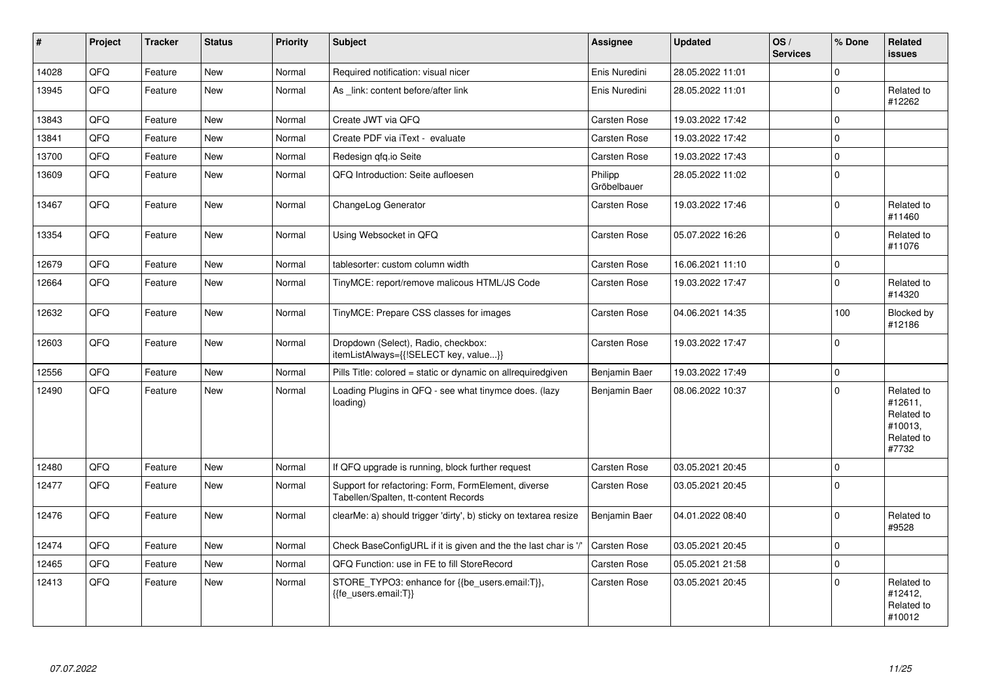| #     | Project | <b>Tracker</b> | <b>Status</b> | <b>Priority</b> | <b>Subject</b>                                                                              | Assignee               | <b>Updated</b>   | OS/<br><b>Services</b> | % Done      | Related<br><b>issues</b>                                              |
|-------|---------|----------------|---------------|-----------------|---------------------------------------------------------------------------------------------|------------------------|------------------|------------------------|-------------|-----------------------------------------------------------------------|
| 14028 | QFQ     | Feature        | <b>New</b>    | Normal          | Required notification: visual nicer                                                         | Enis Nuredini          | 28.05.2022 11:01 |                        | $\mathbf 0$ |                                                                       |
| 13945 | QFQ     | Feature        | <b>New</b>    | Normal          | As link: content before/after link                                                          | Enis Nuredini          | 28.05.2022 11:01 |                        | $\Omega$    | Related to<br>#12262                                                  |
| 13843 | QFQ     | Feature        | <b>New</b>    | Normal          | Create JWT via QFQ                                                                          | Carsten Rose           | 19.03.2022 17:42 |                        | $\Omega$    |                                                                       |
| 13841 | QFQ     | Feature        | New           | Normal          | Create PDF via iText - evaluate                                                             | Carsten Rose           | 19.03.2022 17:42 |                        | $\mathbf 0$ |                                                                       |
| 13700 | QFQ     | Feature        | <b>New</b>    | Normal          | Redesign qfq.io Seite                                                                       | Carsten Rose           | 19.03.2022 17:43 |                        | $\Omega$    |                                                                       |
| 13609 | QFQ     | Feature        | New           | Normal          | QFQ Introduction: Seite aufloesen                                                           | Philipp<br>Gröbelbauer | 28.05.2022 11:02 |                        | $\mathbf 0$ |                                                                       |
| 13467 | QFQ     | Feature        | New           | Normal          | ChangeLog Generator                                                                         | Carsten Rose           | 19.03.2022 17:46 |                        | $\Omega$    | Related to<br>#11460                                                  |
| 13354 | QFQ     | Feature        | <b>New</b>    | Normal          | Using Websocket in QFQ                                                                      | Carsten Rose           | 05.07.2022 16:26 |                        | $\Omega$    | Related to<br>#11076                                                  |
| 12679 | QFQ     | Feature        | New           | Normal          | tablesorter: custom column width                                                            | Carsten Rose           | 16.06.2021 11:10 |                        | $\Omega$    |                                                                       |
| 12664 | QFQ     | Feature        | New           | Normal          | TinyMCE: report/remove malicous HTML/JS Code                                                | Carsten Rose           | 19.03.2022 17:47 |                        | $\mathbf 0$ | Related to<br>#14320                                                  |
| 12632 | QFQ     | Feature        | <b>New</b>    | Normal          | TinyMCE: Prepare CSS classes for images                                                     | Carsten Rose           | 04.06.2021 14:35 |                        | 100         | Blocked by<br>#12186                                                  |
| 12603 | QFQ     | Feature        | New           | Normal          | Dropdown (Select), Radio, checkbox:<br>itemListAlways={{!SELECT key, value}}                | Carsten Rose           | 19.03.2022 17:47 |                        | $\Omega$    |                                                                       |
| 12556 | QFQ     | Feature        | <b>New</b>    | Normal          | Pills Title: colored = static or dynamic on allrequiredgiven                                | Benjamin Baer          | 19.03.2022 17:49 |                        | $\Omega$    |                                                                       |
| 12490 | QFQ     | Feature        | <b>New</b>    | Normal          | Loading Plugins in QFQ - see what tinymce does. (lazy<br>loading)                           | Benjamin Baer          | 08.06.2022 10:37 |                        | $\Omega$    | Related to<br>#12611.<br>Related to<br>#10013,<br>Related to<br>#7732 |
| 12480 | QFQ     | Feature        | New           | Normal          | If QFQ upgrade is running, block further request                                            | Carsten Rose           | 03.05.2021 20:45 |                        | $\Omega$    |                                                                       |
| 12477 | QFQ     | Feature        | New           | Normal          | Support for refactoring: Form, FormElement, diverse<br>Tabellen/Spalten, tt-content Records | Carsten Rose           | 03.05.2021 20:45 |                        | $\Omega$    |                                                                       |
| 12476 | QFQ     | Feature        | New           | Normal          | clearMe: a) should trigger 'dirty', b) sticky on textarea resize                            | Benjamin Baer          | 04.01.2022 08:40 |                        | $\Omega$    | Related to<br>#9528                                                   |
| 12474 | QFQ     | Feature        | <b>New</b>    | Normal          | Check BaseConfigURL if it is given and the the last char is '/'                             | Carsten Rose           | 03.05.2021 20:45 |                        | $\Omega$    |                                                                       |
| 12465 | QFQ     | Feature        | <b>New</b>    | Normal          | QFQ Function: use in FE to fill StoreRecord                                                 | Carsten Rose           | 05.05.2021 21:58 |                        | $\Omega$    |                                                                       |
| 12413 | QFQ     | Feature        | New           | Normal          | STORE_TYPO3: enhance for {{be_users.email:T}},<br>{{fe users.email:T}}                      | Carsten Rose           | 03.05.2021 20:45 |                        | $\Omega$    | Related to<br>#12412,<br>Related to<br>#10012                         |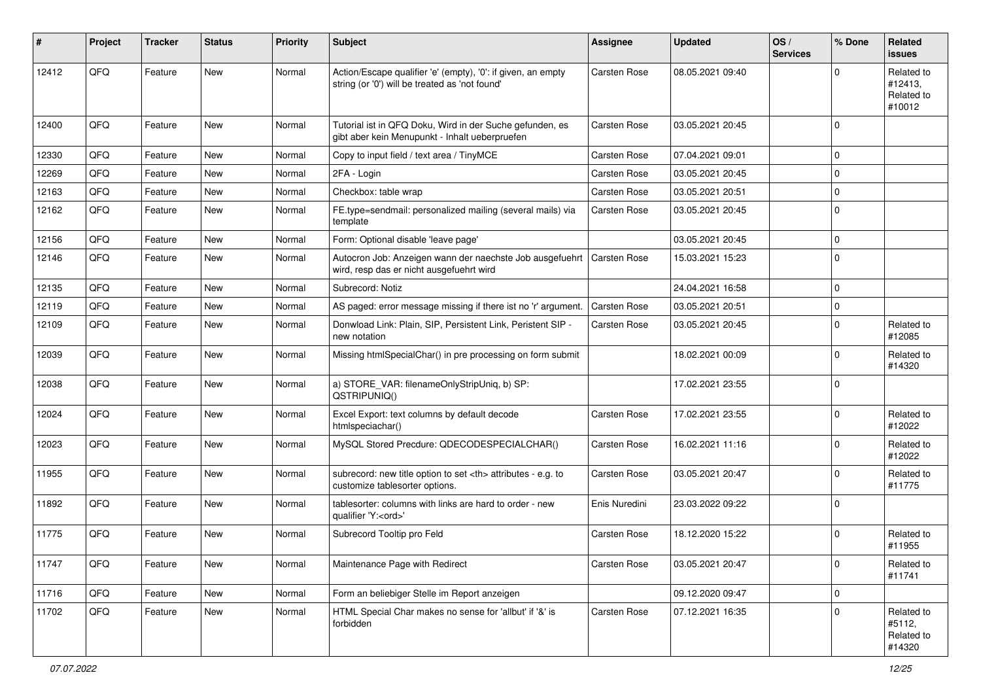| #     | Project | <b>Tracker</b> | <b>Status</b> | <b>Priority</b> | <b>Subject</b>                                                                                                 | Assignee                                               | <b>Updated</b>   | OS/<br><b>Services</b> | % Done      | Related<br><b>issues</b>                      |                      |
|-------|---------|----------------|---------------|-----------------|----------------------------------------------------------------------------------------------------------------|--------------------------------------------------------|------------------|------------------------|-------------|-----------------------------------------------|----------------------|
| 12412 | QFQ     | Feature        | <b>New</b>    | Normal          | Action/Escape qualifier 'e' (empty), '0': if given, an empty<br>string (or '0') will be treated as 'not found' | <b>Carsten Rose</b>                                    | 08.05.2021 09:40 |                        | $\Omega$    | Related to<br>#12413,<br>Related to<br>#10012 |                      |
| 12400 | QFQ     | Feature        | <b>New</b>    | Normal          | Tutorial ist in QFQ Doku, Wird in der Suche gefunden, es<br>gibt aber kein Menupunkt - Inhalt ueberpruefen     | Carsten Rose                                           | 03.05.2021 20:45 |                        | $\mathbf 0$ |                                               |                      |
| 12330 | QFQ     | Feature        | <b>New</b>    | Normal          | Copy to input field / text area / TinyMCE                                                                      | <b>Carsten Rose</b>                                    | 07.04.2021 09:01 |                        | $\mathbf 0$ |                                               |                      |
| 12269 | QFQ     | Feature        | <b>New</b>    | Normal          | 2FA - Login                                                                                                    | <b>Carsten Rose</b>                                    | 03.05.2021 20:45 |                        | $\mathbf 0$ |                                               |                      |
| 12163 | QFQ     | Feature        | New           | Normal          | Checkbox: table wrap                                                                                           | <b>Carsten Rose</b>                                    | 03.05.2021 20:51 |                        | $\mathbf 0$ |                                               |                      |
| 12162 | QFQ     | Feature        | New           | Normal          | FE.type=sendmail: personalized mailing (several mails) via<br>template                                         | <b>Carsten Rose</b>                                    | 03.05.2021 20:45 |                        | $\mathbf 0$ |                                               |                      |
| 12156 | QFQ     | Feature        | <b>New</b>    | Normal          | Form: Optional disable 'leave page'                                                                            |                                                        | 03.05.2021 20:45 |                        | $\mathbf 0$ |                                               |                      |
| 12146 | QFQ     | Feature        | <b>New</b>    | Normal          | Autocron Job: Anzeigen wann der naechste Job ausgefuehrt<br>wird, resp das er nicht ausgefuehrt wird           | <b>Carsten Rose</b>                                    | 15.03.2021 15:23 |                        | $\mathbf 0$ |                                               |                      |
| 12135 | QFQ     | Feature        | <b>New</b>    | Normal          | Subrecord: Notiz                                                                                               |                                                        | 24.04.2021 16:58 |                        | $\mathbf 0$ |                                               |                      |
| 12119 | QFQ     | Feature        | New           | Normal          | AS paged: error message missing if there ist no 'r' argument.                                                  | <b>Carsten Rose</b>                                    | 03.05.2021 20:51 |                        | $\mathbf 0$ |                                               |                      |
| 12109 | QFQ     | Feature        | New           | Normal          | Donwload Link: Plain, SIP, Persistent Link, Peristent SIP -<br>new notation                                    | Carsten Rose                                           | 03.05.2021 20:45 |                        | $\mathbf 0$ | Related to<br>#12085                          |                      |
| 12039 | QFQ     | Feature        | <b>New</b>    | Normal          | Missing htmlSpecialChar() in pre processing on form submit                                                     |                                                        | 18.02.2021 00:09 |                        | $\mathbf 0$ | Related to<br>#14320                          |                      |
| 12038 | QFQ     | Feature        | <b>New</b>    | Normal          | a) STORE_VAR: filenameOnlyStripUniq, b) SP:<br>QSTRIPUNIQ()                                                    |                                                        | 17.02.2021 23:55 |                        | $\mathbf 0$ |                                               |                      |
| 12024 | QFQ     | Feature        | <b>New</b>    | Normal          | Excel Export: text columns by default decode<br>htmlspeciachar()                                               | <b>Carsten Rose</b>                                    | 17.02.2021 23:55 |                        | $\mathbf 0$ | Related to<br>#12022                          |                      |
| 12023 | QFQ     | Feature        | New           | Normal          | MySQL Stored Precdure: QDECODESPECIALCHAR()                                                                    | <b>Carsten Rose</b>                                    | 16.02.2021 11:16 |                        | $\mathbf 0$ | Related to<br>#12022                          |                      |
| 11955 | QFQ     | Feature        | <b>New</b>    | Normal          | subrecord: new title option to set <th> attributes - e.g. to<br/>customize tablesorter options.</th>           | attributes - e.g. to<br>customize tablesorter options. | Carsten Rose     | 03.05.2021 20:47       |             | $\mathbf 0$                                   | Related to<br>#11775 |
| 11892 | QFQ     | Feature        | <b>New</b>    | Normal          | tablesorter: columns with links are hard to order - new<br>qualifier 'Y: <ord>'</ord>                          | Enis Nuredini                                          | 23.03.2022 09:22 |                        | $\mathbf 0$ |                                               |                      |
| 11775 | QFQ     | Feature        | New           | Normal          | Subrecord Tooltip pro Feld                                                                                     | Carsten Rose                                           | 18.12.2020 15:22 |                        | $\mathbf 0$ | Related to<br>#11955                          |                      |
| 11747 | QFQ     | Feature        | <b>New</b>    | Normal          | Maintenance Page with Redirect                                                                                 | Carsten Rose                                           | 03.05.2021 20:47 |                        | $\pmb{0}$   | Related to<br>#11741                          |                      |
| 11716 | QFQ     | Feature        | New           | Normal          | Form an beliebiger Stelle im Report anzeigen                                                                   |                                                        | 09.12.2020 09:47 |                        | $\pmb{0}$   |                                               |                      |
| 11702 | QFQ     | Feature        | New           | Normal          | HTML Special Char makes no sense for 'allbut' if '&' is<br>forbidden                                           | Carsten Rose                                           | 07.12.2021 16:35 |                        | $\mathbf 0$ | Related to<br>#5112,<br>Related to<br>#14320  |                      |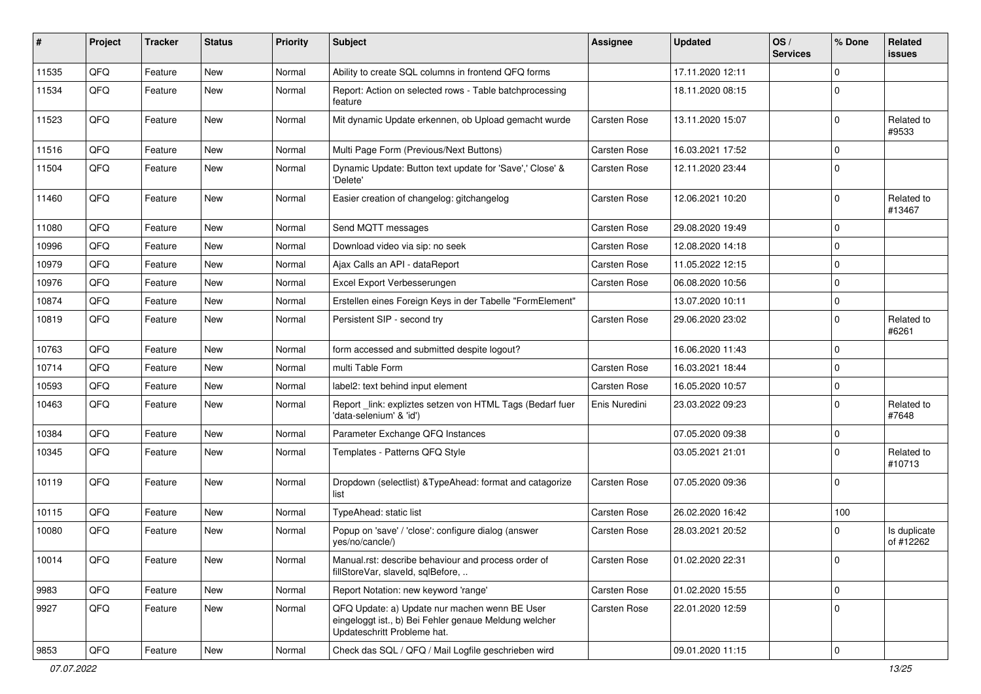| ∦     | Project | <b>Tracker</b> | <b>Status</b> | <b>Priority</b> | Subject                                                                                                                               | <b>Assignee</b>     | <b>Updated</b>   | OS/<br><b>Services</b> | % Done      | <b>Related</b><br><b>issues</b> |
|-------|---------|----------------|---------------|-----------------|---------------------------------------------------------------------------------------------------------------------------------------|---------------------|------------------|------------------------|-------------|---------------------------------|
| 11535 | QFQ     | Feature        | <b>New</b>    | Normal          | Ability to create SQL columns in frontend QFQ forms                                                                                   |                     | 17.11.2020 12:11 |                        | $\mathbf 0$ |                                 |
| 11534 | QFQ     | Feature        | <b>New</b>    | Normal          | Report: Action on selected rows - Table batchprocessing<br>feature                                                                    |                     | 18.11.2020 08:15 |                        | $\Omega$    |                                 |
| 11523 | QFQ     | Feature        | New           | Normal          | Mit dynamic Update erkennen, ob Upload gemacht wurde                                                                                  | <b>Carsten Rose</b> | 13.11.2020 15:07 |                        | $\Omega$    | Related to<br>#9533             |
| 11516 | QFQ     | Feature        | <b>New</b>    | Normal          | Multi Page Form (Previous/Next Buttons)                                                                                               | <b>Carsten Rose</b> | 16.03.2021 17:52 |                        | $\Omega$    |                                 |
| 11504 | QFQ     | Feature        | New           | Normal          | Dynamic Update: Button text update for 'Save',' Close' &<br>'Delete'                                                                  | Carsten Rose        | 12.11.2020 23:44 |                        | $\mathbf 0$ |                                 |
| 11460 | QFQ     | Feature        | <b>New</b>    | Normal          | Easier creation of changelog: gitchangelog                                                                                            | <b>Carsten Rose</b> | 12.06.2021 10:20 |                        | $\mathbf 0$ | Related to<br>#13467            |
| 11080 | QFQ     | Feature        | <b>New</b>    | Normal          | Send MQTT messages                                                                                                                    | <b>Carsten Rose</b> | 29.08.2020 19:49 |                        | $\Omega$    |                                 |
| 10996 | QFQ     | Feature        | <b>New</b>    | Normal          | Download video via sip: no seek                                                                                                       | Carsten Rose        | 12.08.2020 14:18 |                        | $\mathbf 0$ |                                 |
| 10979 | QFQ     | Feature        | <b>New</b>    | Normal          | Ajax Calls an API - dataReport                                                                                                        | Carsten Rose        | 11.05.2022 12:15 |                        | $\Omega$    |                                 |
| 10976 | QFQ     | Feature        | <b>New</b>    | Normal          | Excel Export Verbesserungen                                                                                                           | Carsten Rose        | 06.08.2020 10:56 |                        | $\mathbf 0$ |                                 |
| 10874 | QFQ     | Feature        | New           | Normal          | Erstellen eines Foreign Keys in der Tabelle "FormElement"                                                                             |                     | 13.07.2020 10:11 |                        | $\Omega$    |                                 |
| 10819 | QFQ     | Feature        | <b>New</b>    | Normal          | Persistent SIP - second try                                                                                                           | Carsten Rose        | 29.06.2020 23:02 |                        | $\Omega$    | Related to<br>#6261             |
| 10763 | QFQ     | Feature        | <b>New</b>    | Normal          | form accessed and submitted despite logout?                                                                                           |                     | 16.06.2020 11:43 |                        | $\mathbf 0$ |                                 |
| 10714 | QFQ     | Feature        | <b>New</b>    | Normal          | multi Table Form                                                                                                                      | <b>Carsten Rose</b> | 16.03.2021 18:44 |                        | $\mathbf 0$ |                                 |
| 10593 | QFQ     | Feature        | <b>New</b>    | Normal          | label2: text behind input element                                                                                                     | <b>Carsten Rose</b> | 16.05.2020 10:57 |                        | $\mathbf 0$ |                                 |
| 10463 | QFQ     | Feature        | New           | Normal          | Report _link: expliztes setzen von HTML Tags (Bedarf fuer<br>'data-selenium' & 'id')                                                  | Enis Nuredini       | 23.03.2022 09:23 |                        | $\Omega$    | Related to<br>#7648             |
| 10384 | QFQ     | Feature        | <b>New</b>    | Normal          | Parameter Exchange QFQ Instances                                                                                                      |                     | 07.05.2020 09:38 |                        | $\mathbf 0$ |                                 |
| 10345 | QFQ     | Feature        | New           | Normal          | Templates - Patterns QFQ Style                                                                                                        |                     | 03.05.2021 21:01 |                        | $\Omega$    | Related to<br>#10713            |
| 10119 | QFQ     | Feature        | <b>New</b>    | Normal          | Dropdown (selectlist) & Type Ahead: format and catagorize<br>list                                                                     | Carsten Rose        | 07.05.2020 09:36 |                        | $\Omega$    |                                 |
| 10115 | QFQ     | Feature        | <b>New</b>    | Normal          | TypeAhead: static list                                                                                                                | <b>Carsten Rose</b> | 26.02.2020 16:42 |                        | 100         |                                 |
| 10080 | QFQ     | Feature        | <b>New</b>    | Normal          | Popup on 'save' / 'close': configure dialog (answer<br>yes/no/cancle/)                                                                | Carsten Rose        | 28.03.2021 20:52 |                        | $\Omega$    | Is duplicate<br>of #12262       |
| 10014 | QFQ     | Feature        | New           | Normal          | Manual.rst: describe behaviour and process order of<br>fillStoreVar, slaveId, sqlBefore,                                              | Carsten Rose        | 01.02.2020 22:31 |                        | 0           |                                 |
| 9983  | QFQ     | Feature        | New           | Normal          | Report Notation: new keyword 'range'                                                                                                  | Carsten Rose        | 01.02.2020 15:55 |                        | $\mathbf 0$ |                                 |
| 9927  | QFQ     | Feature        | New           | Normal          | QFQ Update: a) Update nur machen wenn BE User<br>eingeloggt ist., b) Bei Fehler genaue Meldung welcher<br>Updateschritt Probleme hat. | Carsten Rose        | 22.01.2020 12:59 |                        | $\mathbf 0$ |                                 |
| 9853  | QFG     | Feature        | New           | Normal          | Check das SQL / QFQ / Mail Logfile geschrieben wird                                                                                   |                     | 09.01.2020 11:15 |                        | $\mathsf 0$ |                                 |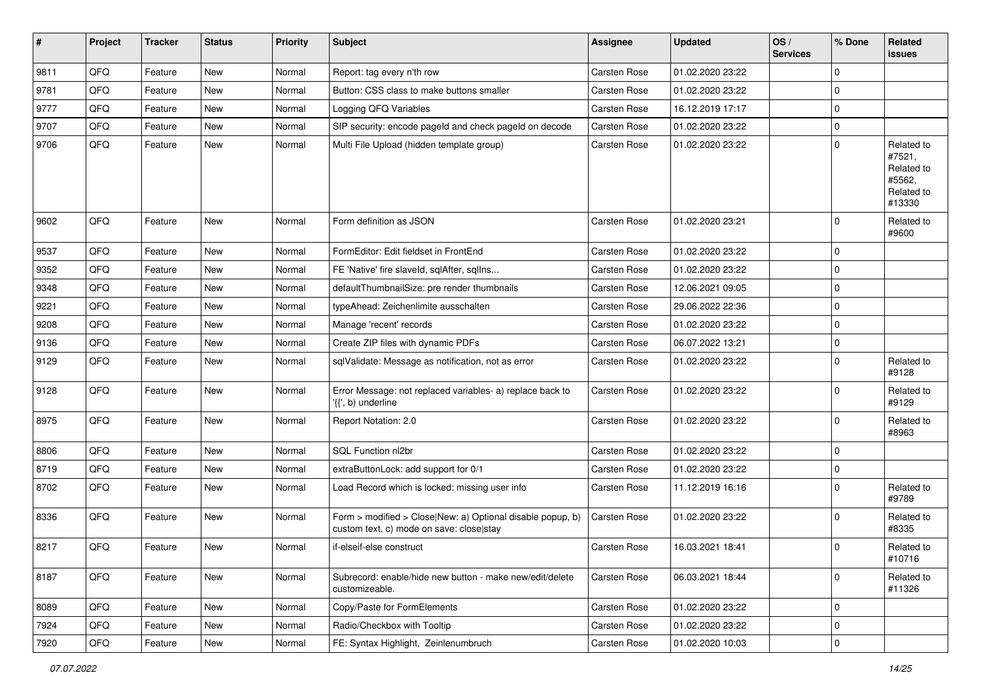| $\sharp$ | Project | <b>Tracker</b> | <b>Status</b> | <b>Priority</b> | <b>Subject</b>                                                                                         | <b>Assignee</b> | <b>Updated</b>   | OS/<br><b>Services</b> | % Done      | <b>Related</b><br><b>issues</b>                                      |
|----------|---------|----------------|---------------|-----------------|--------------------------------------------------------------------------------------------------------|-----------------|------------------|------------------------|-------------|----------------------------------------------------------------------|
| 9811     | QFQ     | Feature        | New           | Normal          | Report: tag every n'th row                                                                             | Carsten Rose    | 01.02.2020 23:22 |                        | 0           |                                                                      |
| 9781     | QFQ     | Feature        | New           | Normal          | Button: CSS class to make buttons smaller                                                              | Carsten Rose    | 01.02.2020 23:22 |                        | 0           |                                                                      |
| 9777     | QFQ     | Feature        | New           | Normal          | Logging QFQ Variables                                                                                  | Carsten Rose    | 16.12.2019 17:17 |                        | $\mathbf 0$ |                                                                      |
| 9707     | QFQ     | Feature        | New           | Normal          | SIP security: encode pageId and check pageId on decode                                                 | Carsten Rose    | 01.02.2020 23:22 |                        | 0           |                                                                      |
| 9706     | QFQ     | Feature        | New           | Normal          | Multi File Upload (hidden template group)                                                              | Carsten Rose    | 01.02.2020 23:22 |                        | 0           | Related to<br>#7521,<br>Related to<br>#5562,<br>Related to<br>#13330 |
| 9602     | QFQ     | Feature        | <b>New</b>    | Normal          | Form definition as JSON                                                                                | Carsten Rose    | 01.02.2020 23:21 |                        | 0           | Related to<br>#9600                                                  |
| 9537     | QFQ     | Feature        | New           | Normal          | FormEditor: Edit fieldset in FrontEnd                                                                  | Carsten Rose    | 01.02.2020 23:22 |                        | 0           |                                                                      |
| 9352     | QFQ     | Feature        | New           | Normal          | FE 'Native' fire slaveld, sqlAfter, sqlIns                                                             | Carsten Rose    | 01.02.2020 23:22 |                        | $\mathbf 0$ |                                                                      |
| 9348     | QFQ     | Feature        | New           | Normal          | defaultThumbnailSize: pre render thumbnails                                                            | Carsten Rose    | 12.06.2021 09:05 |                        | 0           |                                                                      |
| 9221     | QFQ     | Feature        | New           | Normal          | typeAhead: Zeichenlimite ausschalten                                                                   | Carsten Rose    | 29.06.2022 22:36 |                        | 0           |                                                                      |
| 9208     | QFQ     | Feature        | New           | Normal          | Manage 'recent' records                                                                                | Carsten Rose    | 01.02.2020 23:22 |                        | $\mathbf 0$ |                                                                      |
| 9136     | QFQ     | Feature        | New           | Normal          | Create ZIP files with dynamic PDFs                                                                     | Carsten Rose    | 06.07.2022 13:21 |                        | 0           |                                                                      |
| 9129     | QFQ     | Feature        | New           | Normal          | sqlValidate: Message as notification, not as error                                                     | Carsten Rose    | 01.02.2020 23:22 |                        | 0           | Related to<br>#9128                                                  |
| 9128     | QFQ     | Feature        | New           | Normal          | Error Message: not replaced variables- a) replace back to<br>'{{', b) underline                        | Carsten Rose    | 01.02.2020 23:22 |                        | $\mathbf 0$ | Related to<br>#9129                                                  |
| 8975     | QFQ     | Feature        | New           | Normal          | Report Notation: 2.0                                                                                   | Carsten Rose    | 01.02.2020 23:22 |                        | $\mathbf 0$ | Related to<br>#8963                                                  |
| 8806     | QFQ     | Feature        | New           | Normal          | SQL Function nl2br                                                                                     | Carsten Rose    | 01.02.2020 23:22 |                        | $\mathbf 0$ |                                                                      |
| 8719     | QFQ     | Feature        | New           | Normal          | extraButtonLock: add support for 0/1                                                                   | Carsten Rose    | 01.02.2020 23:22 |                        | $\mathbf 0$ |                                                                      |
| 8702     | QFQ     | Feature        | New           | Normal          | Load Record which is locked: missing user info                                                         | Carsten Rose    | 11.12.2019 16:16 |                        | 0           | Related to<br>#9789                                                  |
| 8336     | QFQ     | Feature        | New           | Normal          | Form > modified > Close New: a) Optional disable popup, b)<br>custom text, c) mode on save: close stay | Carsten Rose    | 01.02.2020 23:22 |                        | 0           | Related to<br>#8335                                                  |
| 8217     | QFQ     | Feature        | New           | Normal          | if-elseif-else construct                                                                               | Carsten Rose    | 16.03.2021 18:41 |                        | 0           | Related to<br>#10716                                                 |
| 8187     | QFQ     | Feature        | New           | Normal          | Subrecord: enable/hide new button - make new/edit/delete<br>customizeable.                             | Carsten Rose    | 06.03.2021 18:44 |                        | 0           | Related to<br>#11326                                                 |
| 8089     | QFQ     | Feature        | New           | Normal          | Copy/Paste for FormElements                                                                            | Carsten Rose    | 01.02.2020 23:22 |                        | 0           |                                                                      |
| 7924     | QFQ     | Feature        | New           | Normal          | Radio/Checkbox with Tooltip                                                                            | Carsten Rose    | 01.02.2020 23:22 |                        | $\mathbf 0$ |                                                                      |
| 7920     | QFQ     | Feature        | New           | Normal          | FE: Syntax Highlight, Zeinlenumbruch                                                                   | Carsten Rose    | 01.02.2020 10:03 |                        | 0           |                                                                      |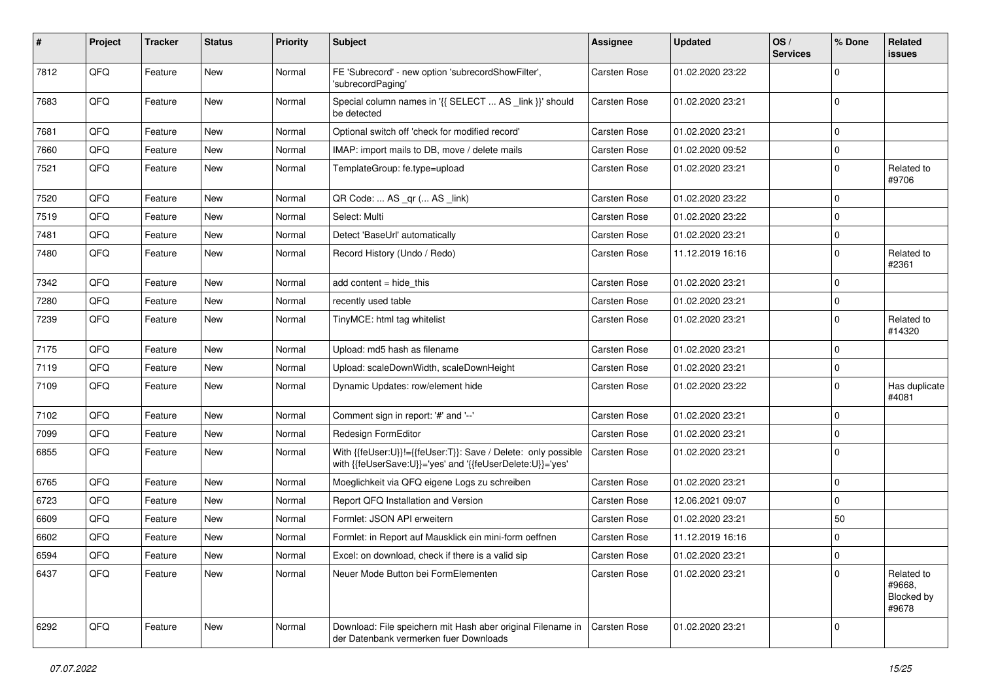| #    | Project | <b>Tracker</b> | <b>Status</b> | <b>Priority</b> | <b>Subject</b>                                                                                                             | <b>Assignee</b>     | <b>Updated</b>   | OS/<br><b>Services</b> | % Done      | <b>Related</b><br><b>issues</b>             |
|------|---------|----------------|---------------|-----------------|----------------------------------------------------------------------------------------------------------------------------|---------------------|------------------|------------------------|-------------|---------------------------------------------|
| 7812 | QFQ     | Feature        | <b>New</b>    | Normal          | FE 'Subrecord' - new option 'subrecordShowFilter',<br>'subrecordPaging'                                                    | Carsten Rose        | 01.02.2020 23:22 |                        | $\Omega$    |                                             |
| 7683 | QFQ     | Feature        | <b>New</b>    | Normal          | Special column names in '{{ SELECT  AS _link }}' should<br>be detected                                                     | <b>Carsten Rose</b> | 01.02.2020 23:21 |                        | $\mathbf 0$ |                                             |
| 7681 | QFQ     | Feature        | <b>New</b>    | Normal          | Optional switch off 'check for modified record'                                                                            | Carsten Rose        | 01.02.2020 23:21 |                        | $\Omega$    |                                             |
| 7660 | QFQ     | Feature        | <b>New</b>    | Normal          | IMAP: import mails to DB, move / delete mails                                                                              | Carsten Rose        | 01.02.2020 09:52 |                        | $\Omega$    |                                             |
| 7521 | QFQ     | Feature        | New           | Normal          | TemplateGroup: fe.type=upload                                                                                              | <b>Carsten Rose</b> | 01.02.2020 23:21 |                        | $\mathbf 0$ | Related to<br>#9706                         |
| 7520 | QFQ     | Feature        | <b>New</b>    | Normal          | QR Code:  AS _qr ( AS _link)                                                                                               | Carsten Rose        | 01.02.2020 23:22 |                        | $\Omega$    |                                             |
| 7519 | QFQ     | Feature        | <b>New</b>    | Normal          | Select: Multi                                                                                                              | Carsten Rose        | 01.02.2020 23:22 |                        | $\mathbf 0$ |                                             |
| 7481 | QFQ     | Feature        | <b>New</b>    | Normal          | Detect 'BaseUrl' automatically                                                                                             | Carsten Rose        | 01.02.2020 23:21 |                        | $\Omega$    |                                             |
| 7480 | QFQ     | Feature        | <b>New</b>    | Normal          | Record History (Undo / Redo)                                                                                               | <b>Carsten Rose</b> | 11.12.2019 16:16 |                        | $\Omega$    | Related to<br>#2361                         |
| 7342 | QFQ     | Feature        | <b>New</b>    | Normal          | add content = hide_this                                                                                                    | Carsten Rose        | 01.02.2020 23:21 |                        | $\Omega$    |                                             |
| 7280 | QFQ     | Feature        | New           | Normal          | recently used table                                                                                                        | <b>Carsten Rose</b> | 01.02.2020 23:21 |                        | $\Omega$    |                                             |
| 7239 | QFQ     | Feature        | <b>New</b>    | Normal          | TinyMCE: html tag whitelist                                                                                                | Carsten Rose        | 01.02.2020 23:21 |                        | $\Omega$    | Related to<br>#14320                        |
| 7175 | QFQ     | Feature        | <b>New</b>    | Normal          | Upload: md5 hash as filename                                                                                               | Carsten Rose        | 01.02.2020 23:21 |                        | $\Omega$    |                                             |
| 7119 | QFQ     | Feature        | <b>New</b>    | Normal          | Upload: scaleDownWidth, scaleDownHeight                                                                                    | Carsten Rose        | 01.02.2020 23:21 |                        | $\mathbf 0$ |                                             |
| 7109 | QFQ     | Feature        | <b>New</b>    | Normal          | Dynamic Updates: row/element hide                                                                                          | <b>Carsten Rose</b> | 01.02.2020 23:22 |                        | $\Omega$    | Has duplicate<br>#4081                      |
| 7102 | QFQ     | Feature        | <b>New</b>    | Normal          | Comment sign in report: '#' and '--'                                                                                       | Carsten Rose        | 01.02.2020 23:21 |                        | $\Omega$    |                                             |
| 7099 | QFQ     | Feature        | New           | Normal          | Redesign FormEditor                                                                                                        | <b>Carsten Rose</b> | 01.02.2020 23:21 |                        | $\Omega$    |                                             |
| 6855 | QFQ     | Feature        | New           | Normal          | With {{feUser:U}}!={{feUser:T}}: Save / Delete: only possible<br>with {{feUserSave:U}}='yes' and '{{feUserDelete:U}}='yes' | Carsten Rose        | 01.02.2020 23:21 |                        | $\Omega$    |                                             |
| 6765 | QFQ     | Feature        | New           | Normal          | Moeglichkeit via QFQ eigene Logs zu schreiben                                                                              | Carsten Rose        | 01.02.2020 23:21 |                        | $\mathbf 0$ |                                             |
| 6723 | QFQ     | Feature        | <b>New</b>    | Normal          | Report QFQ Installation and Version                                                                                        | Carsten Rose        | 12.06.2021 09:07 |                        | $\Omega$    |                                             |
| 6609 | QFQ     | Feature        | <b>New</b>    | Normal          | Formlet: JSON API erweitern                                                                                                | <b>Carsten Rose</b> | 01.02.2020 23:21 |                        | 50          |                                             |
| 6602 | QFQ     | Feature        | New           | Normal          | Formlet: in Report auf Mausklick ein mini-form oeffnen                                                                     | Carsten Rose        | 11.12.2019 16:16 |                        | $\Omega$    |                                             |
| 6594 | QFG     | Feature        | New           | Normal          | Excel: on download, check if there is a valid sip                                                                          | Carsten Rose        | 01.02.2020 23:21 |                        | $\pmb{0}$   |                                             |
| 6437 | QFQ     | Feature        | New           | Normal          | Neuer Mode Button bei FormElementen                                                                                        | <b>Carsten Rose</b> | 01.02.2020 23:21 |                        | $\Omega$    | Related to<br>#9668,<br>Blocked by<br>#9678 |
| 6292 | QFQ     | Feature        | New           | Normal          | Download: File speichern mit Hash aber original Filename in<br>der Datenbank vermerken fuer Downloads                      | <b>Carsten Rose</b> | 01.02.2020 23:21 |                        | $\Omega$    |                                             |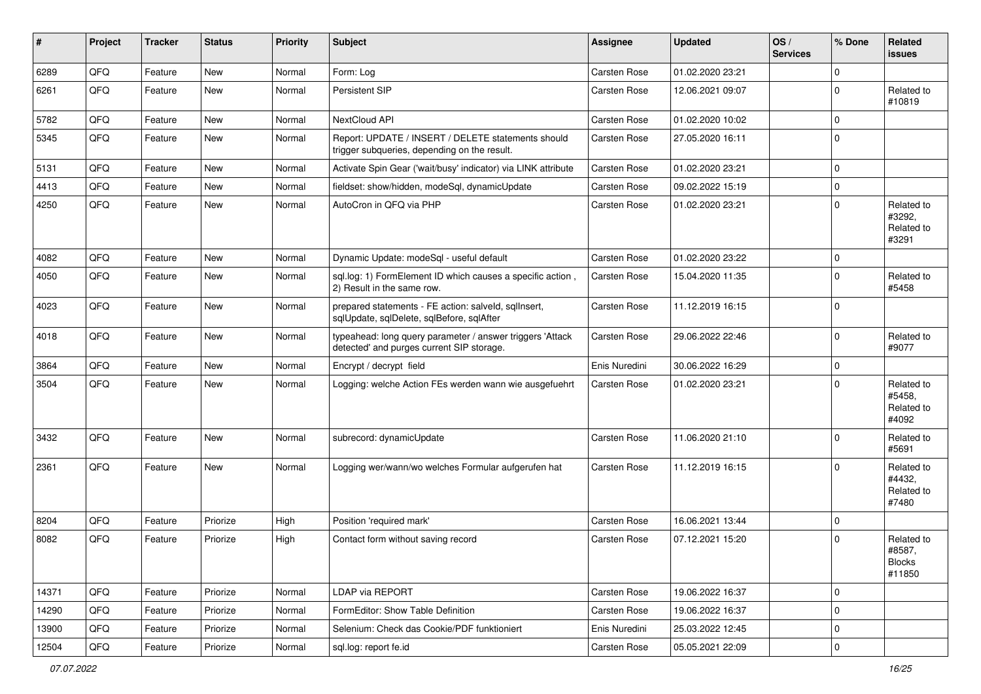| ∦     | Project | <b>Tracker</b> | <b>Status</b> | <b>Priority</b> | <b>Subject</b>                                                                                         | <b>Assignee</b> | Updated          | OS/<br><b>Services</b> | % Done      | <b>Related</b><br><b>issues</b>                 |
|-------|---------|----------------|---------------|-----------------|--------------------------------------------------------------------------------------------------------|-----------------|------------------|------------------------|-------------|-------------------------------------------------|
| 6289  | QFQ     | Feature        | <b>New</b>    | Normal          | Form: Log                                                                                              | Carsten Rose    | 01.02.2020 23:21 |                        | $\Omega$    |                                                 |
| 6261  | QFQ     | Feature        | New           | Normal          | Persistent SIP                                                                                         | Carsten Rose    | 12.06.2021 09:07 |                        | $\Omega$    | Related to<br>#10819                            |
| 5782  | QFQ     | Feature        | New           | Normal          | NextCloud API                                                                                          | Carsten Rose    | 01.02.2020 10:02 |                        | $\Omega$    |                                                 |
| 5345  | QFQ     | Feature        | New           | Normal          | Report: UPDATE / INSERT / DELETE statements should<br>trigger subqueries, depending on the result.     | Carsten Rose    | 27.05.2020 16:11 |                        | $\Omega$    |                                                 |
| 5131  | QFQ     | Feature        | <b>New</b>    | Normal          | Activate Spin Gear ('wait/busy' indicator) via LINK attribute                                          | Carsten Rose    | 01.02.2020 23:21 |                        | $\Omega$    |                                                 |
| 4413  | QFQ     | Feature        | New           | Normal          | fieldset: show/hidden, modeSql, dynamicUpdate                                                          | Carsten Rose    | 09.02.2022 15:19 |                        | $\Omega$    |                                                 |
| 4250  | QFQ     | Feature        | <b>New</b>    | Normal          | AutoCron in QFQ via PHP                                                                                | Carsten Rose    | 01.02.2020 23:21 |                        | $\Omega$    | Related to<br>#3292,<br>Related to<br>#3291     |
| 4082  | QFQ     | Feature        | <b>New</b>    | Normal          | Dynamic Update: modeSql - useful default                                                               | Carsten Rose    | 01.02.2020 23:22 |                        | $\Omega$    |                                                 |
| 4050  | QFQ     | Feature        | New           | Normal          | sql.log: 1) FormElement ID which causes a specific action,<br>2) Result in the same row.               | Carsten Rose    | 15.04.2020 11:35 |                        | $\Omega$    | Related to<br>#5458                             |
| 4023  | QFQ     | Feature        | New           | Normal          | prepared statements - FE action: salveld, sqllnsert,<br>sqlUpdate, sqlDelete, sqlBefore, sqlAfter      | Carsten Rose    | 11.12.2019 16:15 |                        | $\Omega$    |                                                 |
| 4018  | QFQ     | Feature        | <b>New</b>    | Normal          | typeahead: long query parameter / answer triggers 'Attack<br>detected' and purges current SIP storage. | Carsten Rose    | 29.06.2022 22:46 |                        | $\Omega$    | Related to<br>#9077                             |
| 3864  | QFQ     | Feature        | <b>New</b>    | Normal          | Encrypt / decrypt field                                                                                | Enis Nuredini   | 30.06.2022 16:29 |                        | $\Omega$    |                                                 |
| 3504  | QFQ     | Feature        | <b>New</b>    | Normal          | Logging: welche Action FEs werden wann wie ausgefuehrt                                                 | Carsten Rose    | 01.02.2020 23:21 |                        | $\Omega$    | Related to<br>#5458,<br>Related to<br>#4092     |
| 3432  | QFQ     | Feature        | <b>New</b>    | Normal          | subrecord: dynamicUpdate                                                                               | Carsten Rose    | 11.06.2020 21:10 |                        | $\Omega$    | Related to<br>#5691                             |
| 2361  | QFQ     | Feature        | New           | Normal          | Logging wer/wann/wo welches Formular aufgerufen hat                                                    | Carsten Rose    | 11.12.2019 16:15 |                        | $\Omega$    | Related to<br>#4432,<br>Related to<br>#7480     |
| 8204  | QFQ     | Feature        | Priorize      | High            | Position 'required mark'                                                                               | Carsten Rose    | 16.06.2021 13:44 |                        | $\Omega$    |                                                 |
| 8082  | QFQ     | Feature        | Priorize      | High            | Contact form without saving record                                                                     | Carsten Rose    | 07.12.2021 15:20 |                        | $\Omega$    | Related to<br>#8587,<br><b>Blocks</b><br>#11850 |
| 14371 | QFQ     | Feature        | Priorize      | Normal          | LDAP via REPORT                                                                                        | Carsten Rose    | 19.06.2022 16:37 |                        | $\mathbf 0$ |                                                 |
| 14290 | QFQ     | Feature        | Priorize      | Normal          | FormEditor: Show Table Definition                                                                      | Carsten Rose    | 19.06.2022 16:37 |                        | $\Omega$    |                                                 |
| 13900 | QFQ     | Feature        | Priorize      | Normal          | Selenium: Check das Cookie/PDF funktioniert                                                            | Enis Nuredini   | 25.03.2022 12:45 |                        | 0           |                                                 |
| 12504 | QFQ     | Feature        | Priorize      | Normal          | sql.log: report fe.id                                                                                  | Carsten Rose    | 05.05.2021 22:09 |                        | $\mathbf 0$ |                                                 |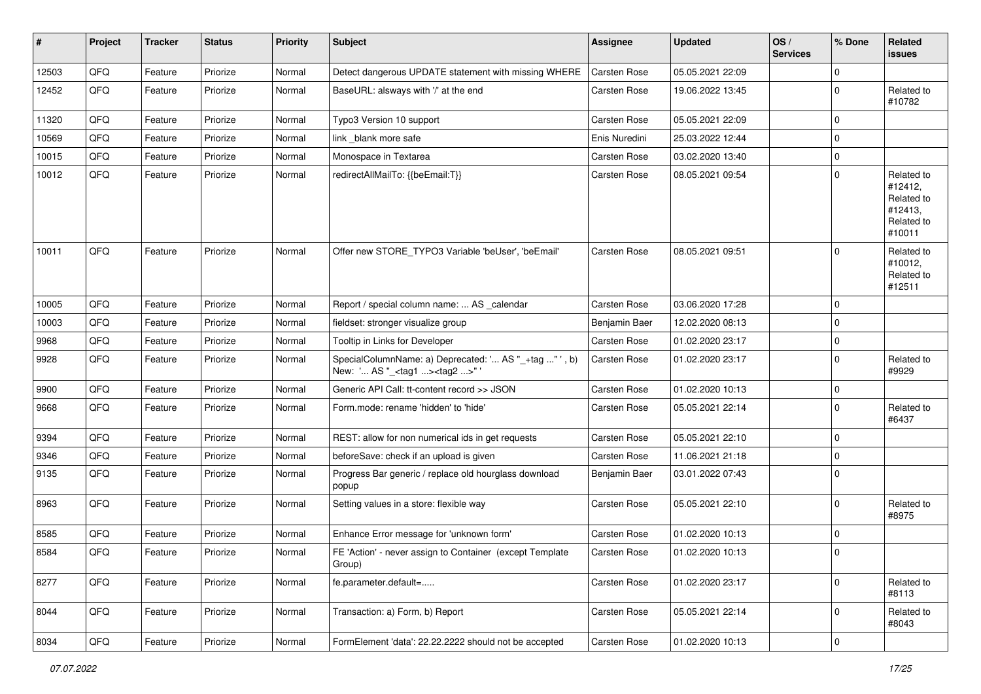| #     | Project | <b>Tracker</b> | <b>Status</b> | <b>Priority</b> | <b>Subject</b>                                                                                    | <b>Assignee</b> | <b>Updated</b>   | OS/<br><b>Services</b> | % Done      | Related<br>issues                                                      |
|-------|---------|----------------|---------------|-----------------|---------------------------------------------------------------------------------------------------|-----------------|------------------|------------------------|-------------|------------------------------------------------------------------------|
| 12503 | QFQ     | Feature        | Priorize      | Normal          | Detect dangerous UPDATE statement with missing WHERE                                              | Carsten Rose    | 05.05.2021 22:09 |                        | $\mathbf 0$ |                                                                        |
| 12452 | QFQ     | Feature        | Priorize      | Normal          | BaseURL: alsways with '/' at the end                                                              | Carsten Rose    | 19.06.2022 13:45 |                        | $\mathbf 0$ | Related to<br>#10782                                                   |
| 11320 | QFQ     | Feature        | Priorize      | Normal          | Typo3 Version 10 support                                                                          | Carsten Rose    | 05.05.2021 22:09 |                        | 0           |                                                                        |
| 10569 | QFQ     | Feature        | Priorize      | Normal          | link blank more safe                                                                              | Enis Nuredini   | 25.03.2022 12:44 |                        | $\mathbf 0$ |                                                                        |
| 10015 | QFQ     | Feature        | Priorize      | Normal          | Monospace in Textarea                                                                             | Carsten Rose    | 03.02.2020 13:40 |                        | $\pmb{0}$   |                                                                        |
| 10012 | QFQ     | Feature        | Priorize      | Normal          | redirectAllMailTo: {{beEmail:T}}                                                                  | Carsten Rose    | 08.05.2021 09:54 |                        | $\mathbf 0$ | Related to<br>#12412,<br>Related to<br>#12413,<br>Related to<br>#10011 |
| 10011 | QFQ     | Feature        | Priorize      | Normal          | Offer new STORE_TYPO3 Variable 'beUser', 'beEmail'                                                | Carsten Rose    | 08.05.2021 09:51 |                        | $\mathbf 0$ | Related to<br>#10012,<br>Related to<br>#12511                          |
| 10005 | QFQ     | Feature        | Priorize      | Normal          | Report / special column name:  AS _calendar                                                       | Carsten Rose    | 03.06.2020 17:28 |                        | $\mathbf 0$ |                                                                        |
| 10003 | QFQ     | Feature        | Priorize      | Normal          | fieldset: stronger visualize group                                                                | Benjamin Baer   | 12.02.2020 08:13 |                        | $\mathbf 0$ |                                                                        |
| 9968  | QFQ     | Feature        | Priorize      | Normal          | Tooltip in Links for Developer                                                                    | Carsten Rose    | 01.02.2020 23:17 |                        | $\pmb{0}$   |                                                                        |
| 9928  | QFQ     | Feature        | Priorize      | Normal          | SpecialColumnName: a) Deprecated: ' AS "_+tag " ', b)<br>New: ' AS "_ <tag1><tag2>"</tag2></tag1> | Carsten Rose    | 01.02.2020 23:17 |                        | $\mathbf 0$ | Related to<br>#9929                                                    |
| 9900  | QFQ     | Feature        | Priorize      | Normal          | Generic API Call: tt-content record >> JSON                                                       | Carsten Rose    | 01.02.2020 10:13 |                        | 0           |                                                                        |
| 9668  | QFQ     | Feature        | Priorize      | Normal          | Form.mode: rename 'hidden' to 'hide'                                                              | Carsten Rose    | 05.05.2021 22:14 |                        | $\mathbf 0$ | Related to<br>#6437                                                    |
| 9394  | QFQ     | Feature        | Priorize      | Normal          | REST: allow for non numerical ids in get requests                                                 | Carsten Rose    | 05.05.2021 22:10 |                        | $\mathbf 0$ |                                                                        |
| 9346  | QFQ     | Feature        | Priorize      | Normal          | beforeSave: check if an upload is given                                                           | Carsten Rose    | 11.06.2021 21:18 |                        | 0           |                                                                        |
| 9135  | QFQ     | Feature        | Priorize      | Normal          | Progress Bar generic / replace old hourglass download<br>popup                                    | Benjamin Baer   | 03.01.2022 07:43 |                        | $\mathbf 0$ |                                                                        |
| 8963  | QFQ     | Feature        | Priorize      | Normal          | Setting values in a store: flexible way                                                           | Carsten Rose    | 05.05.2021 22:10 |                        | $\mathbf 0$ | Related to<br>#8975                                                    |
| 8585  | QFQ     | Feature        | Priorize      | Normal          | Enhance Error message for 'unknown form'                                                          | Carsten Rose    | 01.02.2020 10:13 |                        | $\mathbf 0$ |                                                                        |
| 8584  | QFQ     | Feature        | Priorize      | Normal          | FE 'Action' - never assign to Container (except Template<br>Group)                                | Carsten Rose    | 01.02.2020 10:13 |                        | $\mathbf 0$ |                                                                        |
| 8277  | QFO     | Feature        | Priorize      | Normal          | fe.parameter.default=                                                                             | Carsten Rose    | 01.02.2020 23:17 |                        | $\pmb{0}$   | Related to<br>#8113                                                    |
| 8044  | QFQ     | Feature        | Priorize      | Normal          | Transaction: a) Form, b) Report                                                                   | Carsten Rose    | 05.05.2021 22:14 |                        | $\mathbf 0$ | Related to<br>#8043                                                    |
| 8034  | QFG     | Feature        | Priorize      | Normal          | FormElement 'data': 22.22.2222 should not be accepted                                             | Carsten Rose    | 01.02.2020 10:13 |                        | $\pmb{0}$   |                                                                        |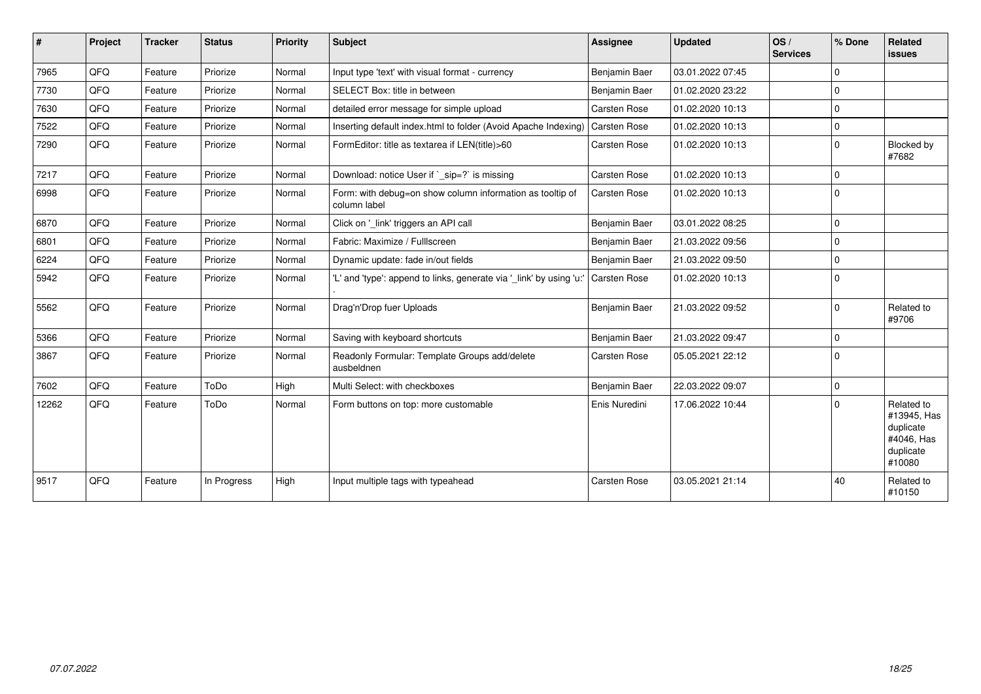| $\vert$ # | Project | <b>Tracker</b> | <b>Status</b> | <b>Priority</b> | <b>Subject</b>                                                            | <b>Assignee</b>     | <b>Updated</b>   | OS/<br><b>Services</b> | % Done      | Related<br>issues                                                           |
|-----------|---------|----------------|---------------|-----------------|---------------------------------------------------------------------------|---------------------|------------------|------------------------|-------------|-----------------------------------------------------------------------------|
| 7965      | QFQ     | Feature        | Priorize      | Normal          | Input type 'text' with visual format - currency                           | Benjamin Baer       | 03.01.2022 07:45 |                        | $\mathbf 0$ |                                                                             |
| 7730      | QFQ     | Feature        | Priorize      | Normal          | SELECT Box: title in between                                              | Benjamin Baer       | 01.02.2020 23:22 |                        | $\Omega$    |                                                                             |
| 7630      | QFQ     | Feature        | Priorize      | Normal          | detailed error message for simple upload                                  | <b>Carsten Rose</b> | 01.02.2020 10:13 |                        | $\mathbf 0$ |                                                                             |
| 7522      | QFQ     | Feature        | Priorize      | Normal          | Inserting default index.html to folder (Avoid Apache Indexing)            | <b>Carsten Rose</b> | 01.02.2020 10:13 |                        | $\mathbf 0$ |                                                                             |
| 7290      | QFQ     | Feature        | Priorize      | Normal          | FormEditor: title as textarea if LEN(title)>60                            | Carsten Rose        | 01.02.2020 10:13 |                        | $\mathbf 0$ | Blocked by<br>#7682                                                         |
| 7217      | QFQ     | Feature        | Priorize      | Normal          | Download: notice User if `_sip=?` is missing                              | Carsten Rose        | 01.02.2020 10:13 |                        | $\Omega$    |                                                                             |
| 6998      | QFQ     | Feature        | Priorize      | Normal          | Form: with debug=on show column information as tooltip of<br>column label | <b>Carsten Rose</b> | 01.02.2020 10:13 |                        | $\Omega$    |                                                                             |
| 6870      | QFQ     | Feature        | Priorize      | Normal          | Click on '_link' triggers an API call                                     | Benjamin Baer       | 03.01.2022 08:25 |                        | $\mathbf 0$ |                                                                             |
| 6801      | QFQ     | Feature        | Priorize      | Normal          | Fabric: Maximize / FullIscreen                                            | Benjamin Baer       | 21.03.2022 09:56 |                        | $\mathbf 0$ |                                                                             |
| 6224      | QFQ     | Feature        | Priorize      | Normal          | Dynamic update: fade in/out fields                                        | Benjamin Baer       | 21.03.2022 09:50 |                        | $\Omega$    |                                                                             |
| 5942      | QFQ     | Feature        | Priorize      | Normal          | 'L' and 'type': append to links, generate via '_link' by using 'u:'       | <b>Carsten Rose</b> | 01.02.2020 10:13 |                        | $\Omega$    |                                                                             |
| 5562      | QFQ     | Feature        | Priorize      | Normal          | Drag'n'Drop fuer Uploads                                                  | Benjamin Baer       | 21.03.2022 09:52 |                        | $\mathbf 0$ | Related to<br>#9706                                                         |
| 5366      | QFQ     | Feature        | Priorize      | Normal          | Saving with keyboard shortcuts                                            | Benjamin Baer       | 21.03.2022 09:47 |                        | $\mathbf 0$ |                                                                             |
| 3867      | QFQ     | Feature        | Priorize      | Normal          | Readonly Formular: Template Groups add/delete<br>ausbeldnen               | <b>Carsten Rose</b> | 05.05.2021 22:12 |                        | $\Omega$    |                                                                             |
| 7602      | QFQ     | Feature        | ToDo          | High            | Multi Select: with checkboxes                                             | Benjamin Baer       | 22.03.2022 09:07 |                        | $\mathbf 0$ |                                                                             |
| 12262     | QFQ     | Feature        | ToDo          | Normal          | Form buttons on top: more customable                                      | Enis Nuredini       | 17.06.2022 10:44 |                        | $\Omega$    | Related to<br>#13945, Has<br>duplicate<br>#4046, Has<br>duplicate<br>#10080 |
| 9517      | QFQ     | Feature        | In Progress   | High            | Input multiple tags with typeahead                                        | <b>Carsten Rose</b> | 03.05.2021 21:14 |                        | 40          | Related to<br>#10150                                                        |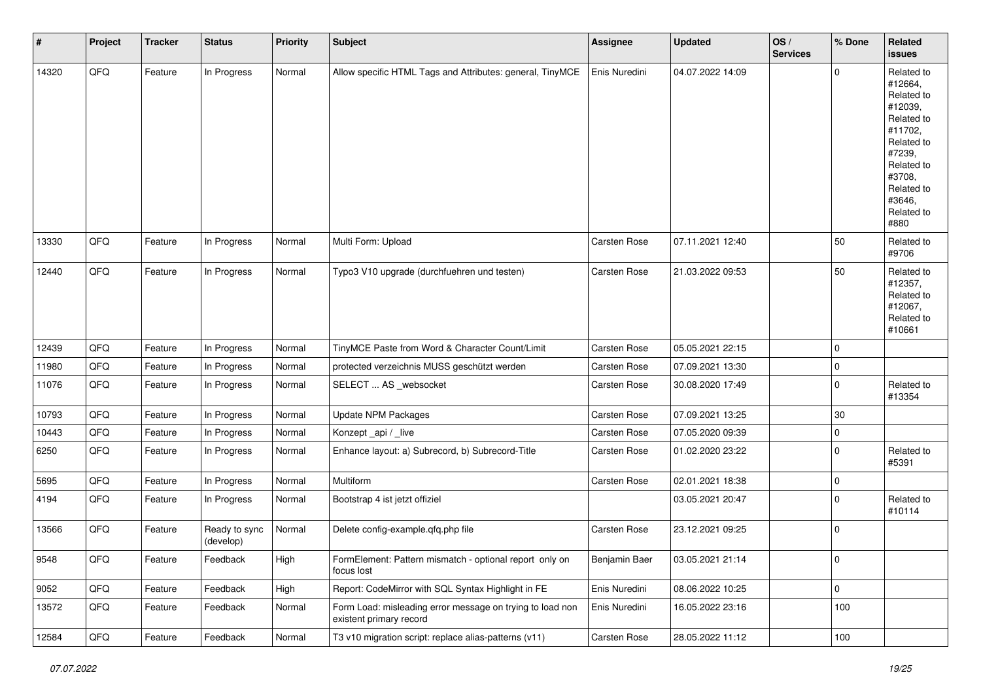| $\sharp$ | Project | <b>Tracker</b> | <b>Status</b>              | <b>Priority</b> | <b>Subject</b>                                                                       | <b>Assignee</b> | Updated          | OS/<br><b>Services</b> | % Done      | Related<br>issues                                                                                                                                                     |
|----------|---------|----------------|----------------------------|-----------------|--------------------------------------------------------------------------------------|-----------------|------------------|------------------------|-------------|-----------------------------------------------------------------------------------------------------------------------------------------------------------------------|
| 14320    | QFQ     | Feature        | In Progress                | Normal          | Allow specific HTML Tags and Attributes: general, TinyMCE                            | Enis Nuredini   | 04.07.2022 14:09 |                        | $\Omega$    | Related to<br>#12664,<br>Related to<br>#12039,<br>Related to<br>#11702,<br>Related to<br>#7239,<br>Related to<br>#3708,<br>Related to<br>#3646,<br>Related to<br>#880 |
| 13330    | QFQ     | Feature        | In Progress                | Normal          | Multi Form: Upload                                                                   | Carsten Rose    | 07.11.2021 12:40 |                        | 50          | Related to<br>#9706                                                                                                                                                   |
| 12440    | QFQ     | Feature        | In Progress                | Normal          | Typo3 V10 upgrade (durchfuehren und testen)                                          | Carsten Rose    | 21.03.2022 09:53 |                        | 50          | Related to<br>#12357,<br>Related to<br>#12067,<br>Related to<br>#10661                                                                                                |
| 12439    | QFQ     | Feature        | In Progress                | Normal          | TinyMCE Paste from Word & Character Count/Limit                                      | Carsten Rose    | 05.05.2021 22:15 |                        | $\mathbf 0$ |                                                                                                                                                                       |
| 11980    | QFQ     | Feature        | In Progress                | Normal          | protected verzeichnis MUSS geschützt werden                                          | Carsten Rose    | 07.09.2021 13:30 |                        | $\mathbf 0$ |                                                                                                                                                                       |
| 11076    | QFQ     | Feature        | In Progress                | Normal          | SELECT  AS _websocket                                                                | Carsten Rose    | 30.08.2020 17:49 |                        | 0           | Related to<br>#13354                                                                                                                                                  |
| 10793    | QFQ     | Feature        | In Progress                | Normal          | <b>Update NPM Packages</b>                                                           | Carsten Rose    | 07.09.2021 13:25 |                        | $30\,$      |                                                                                                                                                                       |
| 10443    | QFQ     | Feature        | In Progress                | Normal          | Konzept_api / _live                                                                  | Carsten Rose    | 07.05.2020 09:39 |                        | 0           |                                                                                                                                                                       |
| 6250     | QFQ     | Feature        | In Progress                | Normal          | Enhance layout: a) Subrecord, b) Subrecord-Title                                     | Carsten Rose    | 01.02.2020 23:22 |                        | $\mathbf 0$ | Related to<br>#5391                                                                                                                                                   |
| 5695     | QFQ     | Feature        | In Progress                | Normal          | Multiform                                                                            | Carsten Rose    | 02.01.2021 18:38 |                        | 0           |                                                                                                                                                                       |
| 4194     | QFQ     | Feature        | In Progress                | Normal          | Bootstrap 4 ist jetzt offiziel                                                       |                 | 03.05.2021 20:47 |                        | $\mathbf 0$ | Related to<br>#10114                                                                                                                                                  |
| 13566    | QFQ     | Feature        | Ready to sync<br>(develop) | Normal          | Delete config-example.qfq.php file                                                   | Carsten Rose    | 23.12.2021 09:25 |                        | $\mathbf 0$ |                                                                                                                                                                       |
| 9548     | QFQ     | Feature        | Feedback                   | High            | FormElement: Pattern mismatch - optional report only on<br>focus lost                | Benjamin Baer   | 03.05.2021 21:14 |                        | 0           |                                                                                                                                                                       |
| 9052     | QFQ     | Feature        | Feedback                   | High            | Report: CodeMirror with SQL Syntax Highlight in FE                                   | Enis Nuredini   | 08.06.2022 10:25 |                        | 0           |                                                                                                                                                                       |
| 13572    | QFQ     | Feature        | Feedback                   | Normal          | Form Load: misleading error message on trying to load non<br>existent primary record | Enis Nuredini   | 16.05.2022 23:16 |                        | 100         |                                                                                                                                                                       |
| 12584    | QFQ     | Feature        | Feedback                   | Normal          | T3 v10 migration script: replace alias-patterns (v11)                                | Carsten Rose    | 28.05.2022 11:12 |                        | 100         |                                                                                                                                                                       |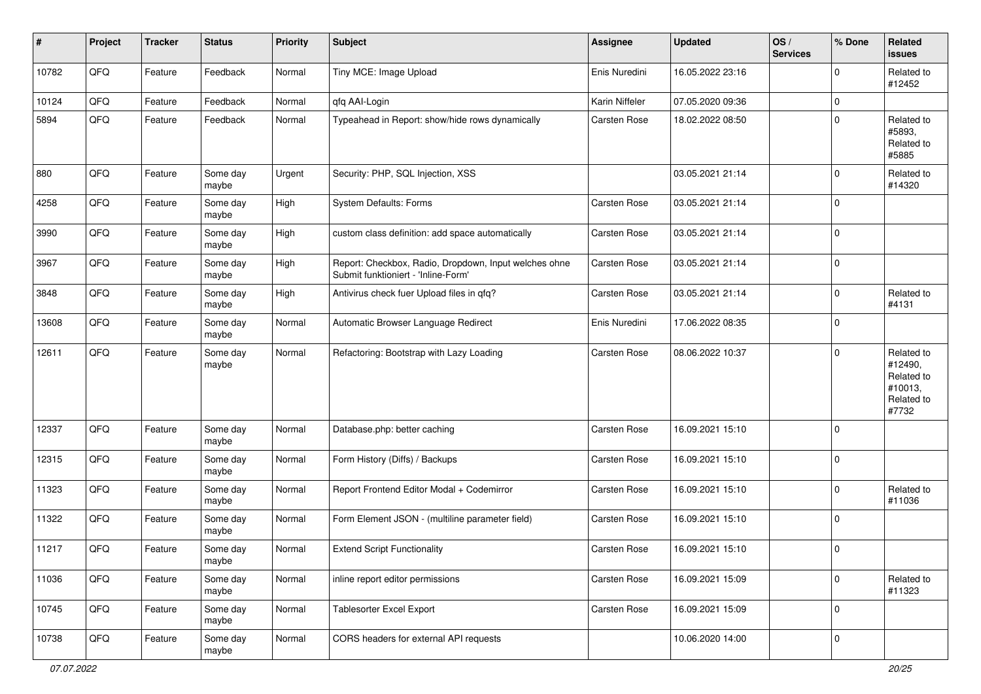| #     | Project | <b>Tracker</b> | <b>Status</b>     | <b>Priority</b> | <b>Subject</b>                                                                               | Assignee            | <b>Updated</b>   | OS/<br><b>Services</b> | % Done      | <b>Related</b><br><b>issues</b>                                       |
|-------|---------|----------------|-------------------|-----------------|----------------------------------------------------------------------------------------------|---------------------|------------------|------------------------|-------------|-----------------------------------------------------------------------|
| 10782 | QFQ     | Feature        | Feedback          | Normal          | Tiny MCE: Image Upload                                                                       | Enis Nuredini       | 16.05.2022 23:16 |                        | $\Omega$    | Related to<br>#12452                                                  |
| 10124 | QFQ     | Feature        | Feedback          | Normal          | qfq AAI-Login                                                                                | Karin Niffeler      | 07.05.2020 09:36 |                        | $\mathbf 0$ |                                                                       |
| 5894  | QFQ     | Feature        | Feedback          | Normal          | Typeahead in Report: show/hide rows dynamically                                              | Carsten Rose        | 18.02.2022 08:50 |                        | $\Omega$    | Related to<br>#5893,<br>Related to<br>#5885                           |
| 880   | QFQ     | Feature        | Some day<br>maybe | Urgent          | Security: PHP, SQL Injection, XSS                                                            |                     | 03.05.2021 21:14 |                        | $\mathbf 0$ | Related to<br>#14320                                                  |
| 4258  | QFQ     | Feature        | Some day<br>maybe | High            | System Defaults: Forms                                                                       | Carsten Rose        | 03.05.2021 21:14 |                        | $\mathbf 0$ |                                                                       |
| 3990  | QFQ     | Feature        | Some day<br>maybe | High            | custom class definition: add space automatically                                             | <b>Carsten Rose</b> | 03.05.2021 21:14 |                        | $\mathbf 0$ |                                                                       |
| 3967  | QFQ     | Feature        | Some day<br>maybe | High            | Report: Checkbox, Radio, Dropdown, Input welches ohne<br>Submit funktioniert - 'Inline-Form' | Carsten Rose        | 03.05.2021 21:14 |                        | $\mathbf 0$ |                                                                       |
| 3848  | QFQ     | Feature        | Some day<br>maybe | High            | Antivirus check fuer Upload files in qfq?                                                    | Carsten Rose        | 03.05.2021 21:14 |                        | $\mathbf 0$ | Related to<br>#4131                                                   |
| 13608 | QFQ     | Feature        | Some day<br>maybe | Normal          | Automatic Browser Language Redirect                                                          | Enis Nuredini       | 17.06.2022 08:35 |                        | $\mathbf 0$ |                                                                       |
| 12611 | QFQ     | Feature        | Some day<br>maybe | Normal          | Refactoring: Bootstrap with Lazy Loading                                                     | <b>Carsten Rose</b> | 08.06.2022 10:37 |                        | $\mathbf 0$ | Related to<br>#12490,<br>Related to<br>#10013,<br>Related to<br>#7732 |
| 12337 | QFQ     | Feature        | Some day<br>maybe | Normal          | Database.php: better caching                                                                 | <b>Carsten Rose</b> | 16.09.2021 15:10 |                        | $\Omega$    |                                                                       |
| 12315 | QFQ     | Feature        | Some day<br>maybe | Normal          | Form History (Diffs) / Backups                                                               | <b>Carsten Rose</b> | 16.09.2021 15:10 |                        | $\Omega$    |                                                                       |
| 11323 | QFQ     | Feature        | Some day<br>maybe | Normal          | Report Frontend Editor Modal + Codemirror                                                    | Carsten Rose        | 16.09.2021 15:10 |                        | $\mathbf 0$ | Related to<br>#11036                                                  |
| 11322 | QFQ     | Feature        | Some day<br>maybe | Normal          | Form Element JSON - (multiline parameter field)                                              | Carsten Rose        | 16.09.2021 15:10 |                        | $\mathbf 0$ |                                                                       |
| 11217 | QFQ     | Feature        | Some day<br>maybe | Normal          | <b>Extend Script Functionality</b>                                                           | Carsten Rose        | 16.09.2021 15:10 |                        | $\mathbf 0$ |                                                                       |
| 11036 | QFQ     | Feature        | Some day<br>maybe | Normal          | inline report editor permissions                                                             | Carsten Rose        | 16.09.2021 15:09 |                        | $\mathbf 0$ | Related to<br>#11323                                                  |
| 10745 | QFG     | Feature        | Some day<br>maybe | Normal          | Tablesorter Excel Export                                                                     | Carsten Rose        | 16.09.2021 15:09 |                        | $\mathbf 0$ |                                                                       |
| 10738 | QFQ     | Feature        | Some day<br>maybe | Normal          | CORS headers for external API requests                                                       |                     | 10.06.2020 14:00 |                        | $\mathbf 0$ |                                                                       |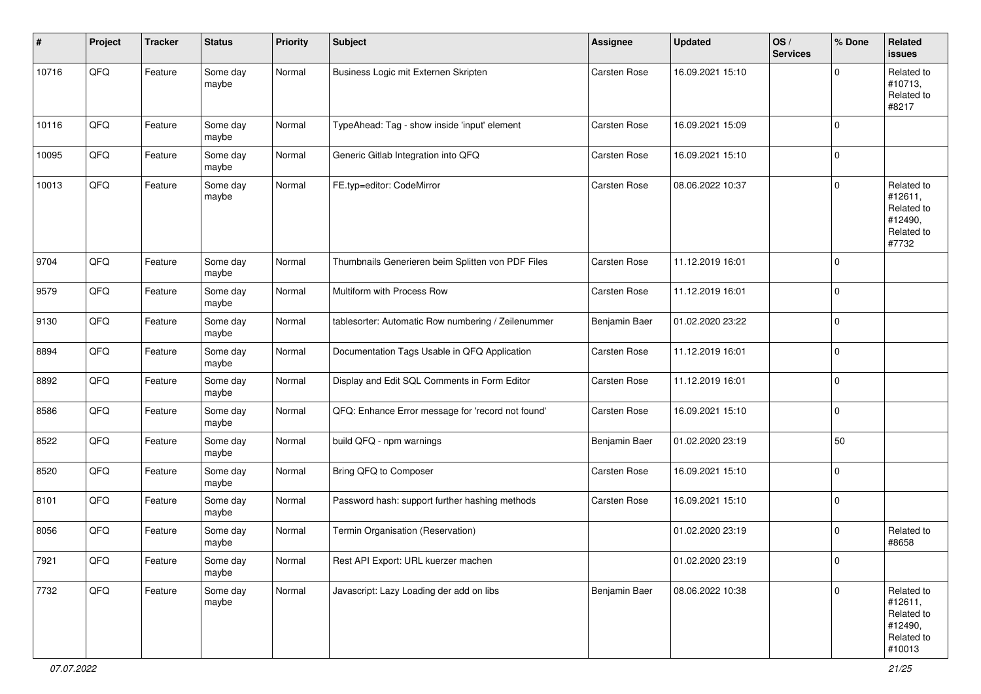| #     | Project        | <b>Tracker</b> | <b>Status</b>     | <b>Priority</b> | <b>Subject</b>                                     | <b>Assignee</b> | <b>Updated</b>   | OS/<br><b>Services</b> | % Done         | <b>Related</b><br>issues                                               |
|-------|----------------|----------------|-------------------|-----------------|----------------------------------------------------|-----------------|------------------|------------------------|----------------|------------------------------------------------------------------------|
| 10716 | QFQ            | Feature        | Some day<br>maybe | Normal          | Business Logic mit Externen Skripten               | Carsten Rose    | 16.09.2021 15:10 |                        | $\Omega$       | Related to<br>#10713,<br>Related to<br>#8217                           |
| 10116 | QFQ            | Feature        | Some day<br>maybe | Normal          | TypeAhead: Tag - show inside 'input' element       | Carsten Rose    | 16.09.2021 15:09 |                        | $\mathbf 0$    |                                                                        |
| 10095 | QFQ            | Feature        | Some day<br>maybe | Normal          | Generic Gitlab Integration into QFQ                | Carsten Rose    | 16.09.2021 15:10 |                        | $\mathbf 0$    |                                                                        |
| 10013 | QFQ            | Feature        | Some day<br>maybe | Normal          | FE.typ=editor: CodeMirror                          | Carsten Rose    | 08.06.2022 10:37 |                        | $\mathbf 0$    | Related to<br>#12611,<br>Related to<br>#12490,<br>Related to<br>#7732  |
| 9704  | QFQ            | Feature        | Some day<br>maybe | Normal          | Thumbnails Generieren beim Splitten von PDF Files  | Carsten Rose    | 11.12.2019 16:01 |                        | $\mathbf 0$    |                                                                        |
| 9579  | QFQ            | Feature        | Some day<br>maybe | Normal          | Multiform with Process Row                         | Carsten Rose    | 11.12.2019 16:01 |                        | $\mathbf 0$    |                                                                        |
| 9130  | QFQ            | Feature        | Some day<br>maybe | Normal          | tablesorter: Automatic Row numbering / Zeilenummer | Benjamin Baer   | 01.02.2020 23:22 |                        | 0              |                                                                        |
| 8894  | QFQ            | Feature        | Some day<br>maybe | Normal          | Documentation Tags Usable in QFQ Application       | Carsten Rose    | 11.12.2019 16:01 |                        | $\mathbf 0$    |                                                                        |
| 8892  | QFQ            | Feature        | Some day<br>maybe | Normal          | Display and Edit SQL Comments in Form Editor       | Carsten Rose    | 11.12.2019 16:01 |                        | $\mathbf 0$    |                                                                        |
| 8586  | QFQ            | Feature        | Some day<br>maybe | Normal          | QFQ: Enhance Error message for 'record not found'  | Carsten Rose    | 16.09.2021 15:10 |                        | $\mathbf 0$    |                                                                        |
| 8522  | QFQ            | Feature        | Some day<br>maybe | Normal          | build QFQ - npm warnings                           | Benjamin Baer   | 01.02.2020 23:19 |                        | 50             |                                                                        |
| 8520  | QFQ            | Feature        | Some day<br>maybe | Normal          | Bring QFQ to Composer                              | Carsten Rose    | 16.09.2021 15:10 |                        | $\mathbf 0$    |                                                                        |
| 8101  | QFQ            | Feature        | Some day<br>maybe | Normal          | Password hash: support further hashing methods     | Carsten Rose    | 16.09.2021 15:10 |                        | $\mathbf 0$    |                                                                        |
| 8056  | QFQ            | Feature        | Some day<br>maybe | Normal          | Termin Organisation (Reservation)                  |                 | 01.02.2020 23:19 |                        | 0              | Related to<br>#8658                                                    |
| 7921  | $\mathsf{QFQ}$ | Feature        | Some day<br>maybe | Normal          | Rest API Export: URL kuerzer machen                |                 | 01.02.2020 23:19 |                        | $\overline{0}$ |                                                                        |
| 7732  | QFQ            | Feature        | Some day<br>maybe | Normal          | Javascript: Lazy Loading der add on libs           | Benjamin Baer   | 08.06.2022 10:38 |                        | $\mathbf 0$    | Related to<br>#12611,<br>Related to<br>#12490,<br>Related to<br>#10013 |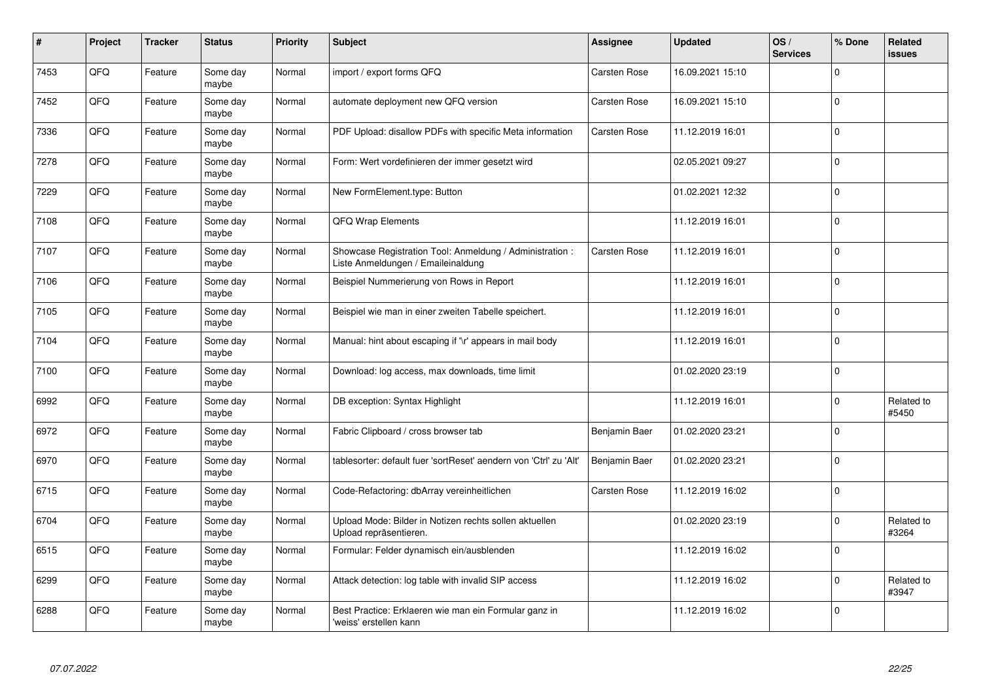| #    | Project | <b>Tracker</b> | <b>Status</b>     | <b>Priority</b> | <b>Subject</b>                                                                                 | Assignee            | <b>Updated</b>   | OS/<br><b>Services</b> | % Done       | <b>Related</b><br>issues |
|------|---------|----------------|-------------------|-----------------|------------------------------------------------------------------------------------------------|---------------------|------------------|------------------------|--------------|--------------------------|
| 7453 | QFQ     | Feature        | Some day<br>maybe | Normal          | import / export forms QFQ                                                                      | <b>Carsten Rose</b> | 16.09.2021 15:10 |                        | $\Omega$     |                          |
| 7452 | QFQ     | Feature        | Some day<br>maybe | Normal          | automate deployment new QFQ version                                                            | Carsten Rose        | 16.09.2021 15:10 |                        | $\mathbf 0$  |                          |
| 7336 | QFQ     | Feature        | Some day<br>maybe | Normal          | PDF Upload: disallow PDFs with specific Meta information                                       | Carsten Rose        | 11.12.2019 16:01 |                        | $\mathbf 0$  |                          |
| 7278 | QFQ     | Feature        | Some day<br>maybe | Normal          | Form: Wert vordefinieren der immer gesetzt wird                                                |                     | 02.05.2021 09:27 |                        | $\Omega$     |                          |
| 7229 | QFQ     | Feature        | Some day<br>maybe | Normal          | New FormElement.type: Button                                                                   |                     | 01.02.2021 12:32 |                        | $\mathbf 0$  |                          |
| 7108 | QFQ     | Feature        | Some day<br>maybe | Normal          | QFQ Wrap Elements                                                                              |                     | 11.12.2019 16:01 |                        | $\mathbf{0}$ |                          |
| 7107 | QFQ     | Feature        | Some day<br>maybe | Normal          | Showcase Registration Tool: Anmeldung / Administration :<br>Liste Anmeldungen / Emaileinaldung | Carsten Rose        | 11.12.2019 16:01 |                        | $\mathbf 0$  |                          |
| 7106 | QFQ     | Feature        | Some day<br>maybe | Normal          | Beispiel Nummerierung von Rows in Report                                                       |                     | 11.12.2019 16:01 |                        | $\Omega$     |                          |
| 7105 | QFQ     | Feature        | Some day<br>maybe | Normal          | Beispiel wie man in einer zweiten Tabelle speichert.                                           |                     | 11.12.2019 16:01 |                        | $\mathbf 0$  |                          |
| 7104 | QFQ     | Feature        | Some day<br>maybe | Normal          | Manual: hint about escaping if '\r' appears in mail body                                       |                     | 11.12.2019 16:01 |                        | $\mathbf 0$  |                          |
| 7100 | QFQ     | Feature        | Some day<br>maybe | Normal          | Download: log access, max downloads, time limit                                                |                     | 01.02.2020 23:19 |                        | $\mathbf 0$  |                          |
| 6992 | QFQ     | Feature        | Some day<br>maybe | Normal          | DB exception: Syntax Highlight                                                                 |                     | 11.12.2019 16:01 |                        | $\mathbf 0$  | Related to<br>#5450      |
| 6972 | QFQ     | Feature        | Some day<br>maybe | Normal          | Fabric Clipboard / cross browser tab                                                           | Benjamin Baer       | 01.02.2020 23:21 |                        | $\mathbf 0$  |                          |
| 6970 | QFQ     | Feature        | Some day<br>maybe | Normal          | tablesorter: default fuer 'sortReset' aendern von 'Ctrl' zu 'Alt'                              | Benjamin Baer       | 01.02.2020 23:21 |                        | $\pmb{0}$    |                          |
| 6715 | QFQ     | Feature        | Some day<br>maybe | Normal          | Code-Refactoring: dbArray vereinheitlichen                                                     | Carsten Rose        | 11.12.2019 16:02 |                        | $\Omega$     |                          |
| 6704 | QFQ     | Feature        | Some day<br>maybe | Normal          | Upload Mode: Bilder in Notizen rechts sollen aktuellen<br>Upload repräsentieren.               |                     | 01.02.2020 23:19 |                        | $\mathbf 0$  | Related to<br>#3264      |
| 6515 | QFQ     | Feature        | Some day<br>maybe | Normal          | Formular: Felder dynamisch ein/ausblenden                                                      |                     | 11.12.2019 16:02 |                        | $\mathbf{0}$ |                          |
| 6299 | QFQ     | Feature        | Some day<br>maybe | Normal          | Attack detection: log table with invalid SIP access                                            |                     | 11.12.2019 16:02 |                        | $\mathbf 0$  | Related to<br>#3947      |
| 6288 | QFQ     | Feature        | Some day<br>maybe | Normal          | Best Practice: Erklaeren wie man ein Formular ganz in<br>'weiss' erstellen kann                |                     | 11.12.2019 16:02 |                        | $\Omega$     |                          |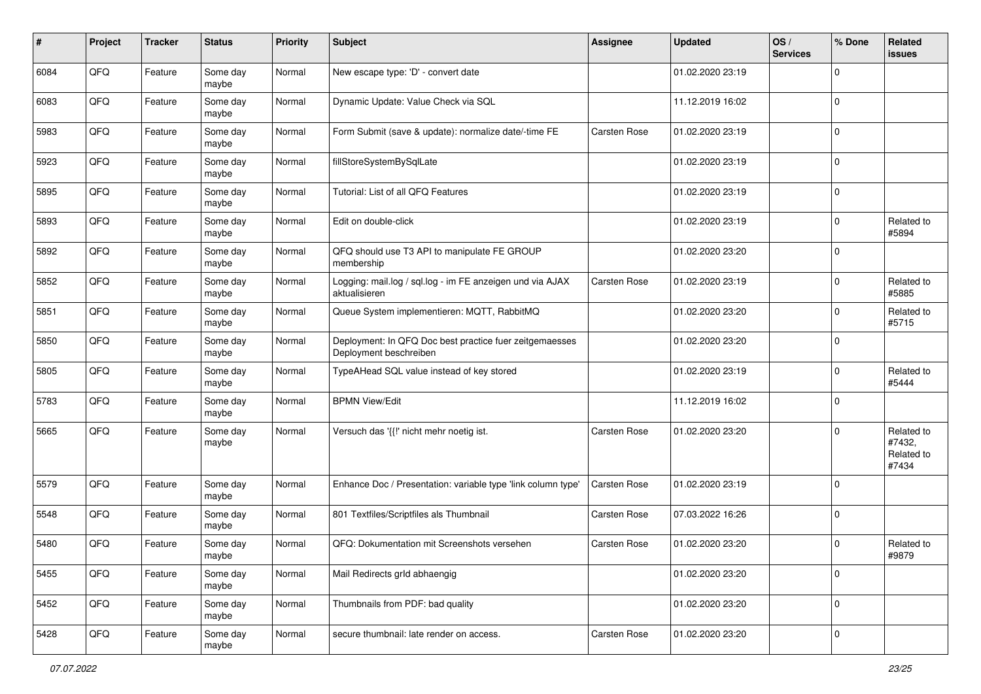| $\#$ | Project | <b>Tracker</b> | <b>Status</b>     | <b>Priority</b> | <b>Subject</b>                                                                    | <b>Assignee</b> | <b>Updated</b>   | OS/<br><b>Services</b> | % Done      | Related<br><b>issues</b>                    |
|------|---------|----------------|-------------------|-----------------|-----------------------------------------------------------------------------------|-----------------|------------------|------------------------|-------------|---------------------------------------------|
| 6084 | QFQ     | Feature        | Some day<br>maybe | Normal          | New escape type: 'D' - convert date                                               |                 | 01.02.2020 23:19 |                        | $\mathbf 0$ |                                             |
| 6083 | QFQ     | Feature        | Some day<br>maybe | Normal          | Dynamic Update: Value Check via SQL                                               |                 | 11.12.2019 16:02 |                        | $\mathbf 0$ |                                             |
| 5983 | QFQ     | Feature        | Some day<br>maybe | Normal          | Form Submit (save & update): normalize date/-time FE                              | Carsten Rose    | 01.02.2020 23:19 |                        | $\mathbf 0$ |                                             |
| 5923 | QFQ     | Feature        | Some day<br>maybe | Normal          | fillStoreSystemBySqlLate                                                          |                 | 01.02.2020 23:19 |                        | $\mathbf 0$ |                                             |
| 5895 | QFQ     | Feature        | Some day<br>maybe | Normal          | Tutorial: List of all QFQ Features                                                |                 | 01.02.2020 23:19 |                        | $\mathbf 0$ |                                             |
| 5893 | QFQ     | Feature        | Some day<br>maybe | Normal          | Edit on double-click                                                              |                 | 01.02.2020 23:19 |                        | $\mathbf 0$ | Related to<br>#5894                         |
| 5892 | QFQ     | Feature        | Some day<br>maybe | Normal          | QFQ should use T3 API to manipulate FE GROUP<br>membership                        |                 | 01.02.2020 23:20 |                        | $\mathbf 0$ |                                             |
| 5852 | QFQ     | Feature        | Some day<br>maybe | Normal          | Logging: mail.log / sql.log - im FE anzeigen und via AJAX<br>aktualisieren        | Carsten Rose    | 01.02.2020 23:19 |                        | $\mathbf 0$ | Related to<br>#5885                         |
| 5851 | QFQ     | Feature        | Some day<br>maybe | Normal          | Queue System implementieren: MQTT, RabbitMQ                                       |                 | 01.02.2020 23:20 |                        | $\mathbf 0$ | Related to<br>#5715                         |
| 5850 | QFQ     | Feature        | Some day<br>maybe | Normal          | Deployment: In QFQ Doc best practice fuer zeitgemaesses<br>Deployment beschreiben |                 | 01.02.2020 23:20 |                        | $\Omega$    |                                             |
| 5805 | QFQ     | Feature        | Some day<br>maybe | Normal          | TypeAHead SQL value instead of key stored                                         |                 | 01.02.2020 23:19 |                        | $\mathbf 0$ | Related to<br>#5444                         |
| 5783 | QFQ     | Feature        | Some day<br>maybe | Normal          | <b>BPMN View/Edit</b>                                                             |                 | 11.12.2019 16:02 |                        | $\Omega$    |                                             |
| 5665 | QFQ     | Feature        | Some day<br>maybe | Normal          | Versuch das '{{!' nicht mehr noetig ist.                                          | Carsten Rose    | 01.02.2020 23:20 |                        | $\mathbf 0$ | Related to<br>#7432,<br>Related to<br>#7434 |
| 5579 | QFQ     | Feature        | Some day<br>maybe | Normal          | Enhance Doc / Presentation: variable type 'link column type'                      | Carsten Rose    | 01.02.2020 23:19 |                        | $\Omega$    |                                             |
| 5548 | QFQ     | Feature        | Some day<br>maybe | Normal          | 801 Textfiles/Scriptfiles als Thumbnail                                           | Carsten Rose    | 07.03.2022 16:26 |                        | $\mathbf 0$ |                                             |
| 5480 | QFQ     | Feature        | Some day<br>maybe | Normal          | QFQ: Dokumentation mit Screenshots versehen                                       | Carsten Rose    | 01.02.2020 23:20 |                        | $\mathbf 0$ | Related to<br>#9879                         |
| 5455 | QFQ     | Feature        | Some day<br>maybe | Normal          | Mail Redirects grld abhaengig                                                     |                 | 01.02.2020 23:20 |                        | $\mathbf 0$ |                                             |
| 5452 | QFQ     | Feature        | Some day<br>maybe | Normal          | Thumbnails from PDF: bad quality                                                  |                 | 01.02.2020 23:20 |                        | $\mathbf 0$ |                                             |
| 5428 | QFQ     | Feature        | Some day<br>maybe | Normal          | secure thumbnail: late render on access.                                          | Carsten Rose    | 01.02.2020 23:20 |                        | $\pmb{0}$   |                                             |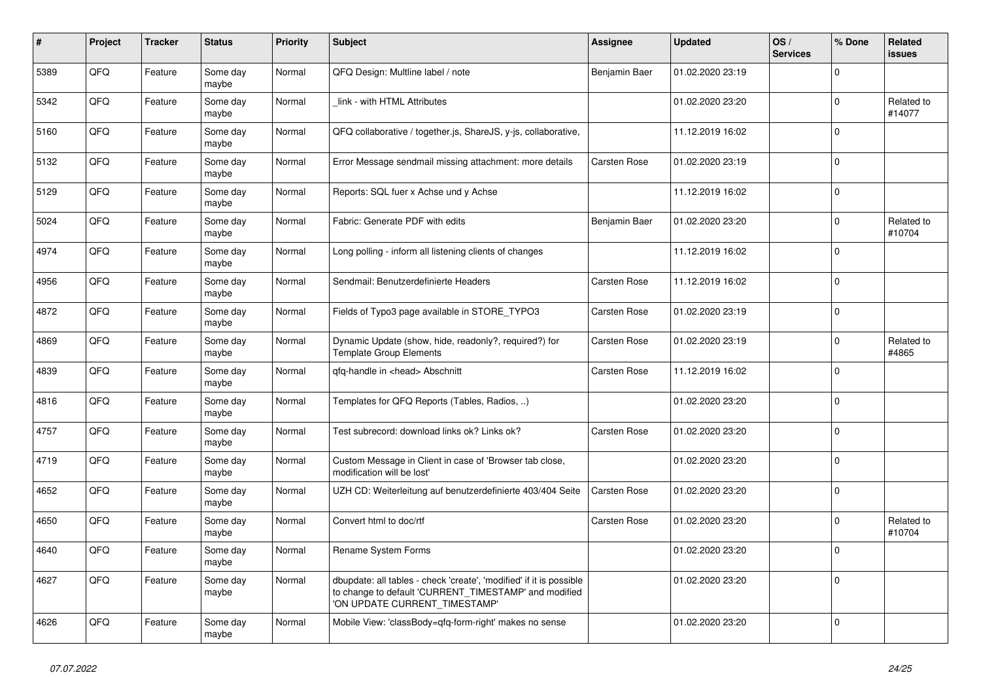| #    | Project | <b>Tracker</b> | <b>Status</b>     | <b>Priority</b> | <b>Subject</b>                                                                                                                                                | Assignee      | <b>Updated</b>   | OS/<br><b>Services</b> | % Done      | Related<br><b>issues</b> |
|------|---------|----------------|-------------------|-----------------|---------------------------------------------------------------------------------------------------------------------------------------------------------------|---------------|------------------|------------------------|-------------|--------------------------|
| 5389 | QFQ     | Feature        | Some day<br>maybe | Normal          | QFQ Design: Multline label / note                                                                                                                             | Benjamin Baer | 01.02.2020 23:19 |                        | $\Omega$    |                          |
| 5342 | QFQ     | Feature        | Some day<br>maybe | Normal          | link - with HTML Attributes                                                                                                                                   |               | 01.02.2020 23:20 |                        | $\mathbf 0$ | Related to<br>#14077     |
| 5160 | QFQ     | Feature        | Some day<br>maybe | Normal          | QFQ collaborative / together.js, ShareJS, y-js, collaborative,                                                                                                |               | 11.12.2019 16:02 |                        | $\mathbf 0$ |                          |
| 5132 | QFQ     | Feature        | Some day<br>maybe | Normal          | Error Message sendmail missing attachment: more details                                                                                                       | Carsten Rose  | 01.02.2020 23:19 |                        | $\Omega$    |                          |
| 5129 | QFQ     | Feature        | Some day<br>maybe | Normal          | Reports: SQL fuer x Achse und y Achse                                                                                                                         |               | 11.12.2019 16:02 |                        | $\mathbf 0$ |                          |
| 5024 | QFQ     | Feature        | Some day<br>maybe | Normal          | Fabric: Generate PDF with edits                                                                                                                               | Benjamin Baer | 01.02.2020 23:20 |                        | $\mathbf 0$ | Related to<br>#10704     |
| 4974 | QFQ     | Feature        | Some day<br>maybe | Normal          | Long polling - inform all listening clients of changes                                                                                                        |               | 11.12.2019 16:02 |                        | $\Omega$    |                          |
| 4956 | QFQ     | Feature        | Some day<br>maybe | Normal          | Sendmail: Benutzerdefinierte Headers                                                                                                                          | Carsten Rose  | 11.12.2019 16:02 |                        | $\mathbf 0$ |                          |
| 4872 | QFQ     | Feature        | Some day<br>maybe | Normal          | Fields of Typo3 page available in STORE_TYPO3                                                                                                                 | Carsten Rose  | 01.02.2020 23:19 |                        | $\Omega$    |                          |
| 4869 | QFQ     | Feature        | Some day<br>maybe | Normal          | Dynamic Update (show, hide, readonly?, required?) for<br><b>Template Group Elements</b>                                                                       | Carsten Rose  | 01.02.2020 23:19 |                        | $\mathbf 0$ | Related to<br>#4865      |
| 4839 | QFQ     | Feature        | Some day<br>maybe | Normal          | qfq-handle in <head> Abschnitt</head>                                                                                                                         | Carsten Rose  | 11.12.2019 16:02 |                        | $\mathbf 0$ |                          |
| 4816 | QFQ     | Feature        | Some day<br>maybe | Normal          | Templates for QFQ Reports (Tables, Radios, )                                                                                                                  |               | 01.02.2020 23:20 |                        | $\Omega$    |                          |
| 4757 | QFQ     | Feature        | Some day<br>maybe | Normal          | Test subrecord: download links ok? Links ok?                                                                                                                  | Carsten Rose  | 01.02.2020 23:20 |                        | $\mathbf 0$ |                          |
| 4719 | QFQ     | Feature        | Some day<br>maybe | Normal          | Custom Message in Client in case of 'Browser tab close,<br>modification will be lost'                                                                         |               | 01.02.2020 23:20 |                        | $\Omega$    |                          |
| 4652 | QFQ     | Feature        | Some day<br>maybe | Normal          | UZH CD: Weiterleitung auf benutzerdefinierte 403/404 Seite                                                                                                    | Carsten Rose  | 01.02.2020 23:20 |                        | $\mathbf 0$ |                          |
| 4650 | QFQ     | Feature        | Some day<br>maybe | Normal          | Convert html to doc/rtf                                                                                                                                       | Carsten Rose  | 01.02.2020 23:20 |                        | $\mathbf 0$ | Related to<br>#10704     |
| 4640 | QFQ     | Feature        | Some day<br>maybe | Normal          | Rename System Forms                                                                                                                                           |               | 01.02.2020 23:20 |                        | $\mathbf 0$ |                          |
| 4627 | QFQ     | Feature        | Some day<br>maybe | Normal          | dbupdate: all tables - check 'create', 'modified' if it is possible<br>to change to default 'CURRENT_TIMESTAMP' and modified<br>'ON UPDATE CURRENT_TIMESTAMP' |               | 01.02.2020 23:20 |                        | $\Omega$    |                          |
| 4626 | QFQ     | Feature        | Some day<br>maybe | Normal          | Mobile View: 'classBody=qfq-form-right' makes no sense                                                                                                        |               | 01.02.2020 23:20 |                        | $\mathbf 0$ |                          |